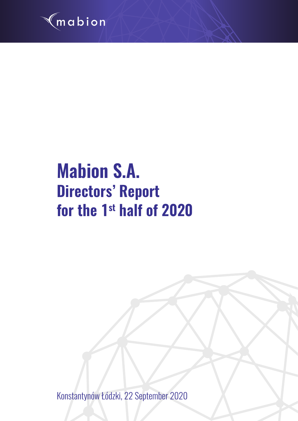

# **Mabion S.A. Directors' Report for the 1st half of 2020**

Konstantynów Łódzki, 22 September 2020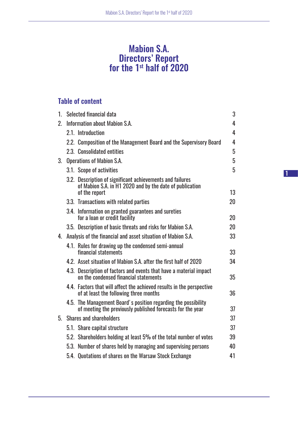# Mabion S.A. Directors' Report for the 1st half of 2020

# Table of content

| $1_{-}$        | Selected financial data                                                                                                                | 3  |
|----------------|----------------------------------------------------------------------------------------------------------------------------------------|----|
| 2 <sub>1</sub> | Information about Mabion S.A.                                                                                                          | 4  |
|                | 2.1. Introduction                                                                                                                      | 4  |
|                | 2.2. Composition of the Management Board and the Supervisory Board                                                                     | 4  |
|                | 2.3. Consolidated entities                                                                                                             | 5  |
| 3.             | <b>Operations of Mabion S.A.</b>                                                                                                       | 5  |
|                | 3.1. Scope of activities                                                                                                               | 5  |
|                | 3.2. Description of significant achievements and failures<br>of Mabion S.A. in H1 2020 and by the date of publication<br>of the report | 13 |
|                | 3.3. Transactions with related parties                                                                                                 | 20 |
|                | 3.4. Information on granted guarantees and sureties<br>for a loan or credit facility                                                   | 20 |
|                | 3.5. Description of basic threats and risks for Mabion S.A.                                                                            | 20 |
| 4.             | Analysis of the financial and asset situation of Mabion S.A.                                                                           | 33 |
|                | 4.1. Rules for drawing up the condensed semi-annual<br>financial statements                                                            | 33 |
|                | 4.2. Asset situation of Mabion S.A. after the first half of 2020                                                                       | 34 |
|                | 4.3. Description of factors and events that have a material impact<br>on the condensed financial statements                            | 35 |
|                | 4.4. Factors that will affect the achieved results in the perspective<br>of at least the following three months                        | 36 |
|                | 4.5. The Management Board's position regarding the possibility<br>of meeting the previously published forecasts for the year           | 37 |
| 5 <sub>1</sub> | <b>Shares and shareholders</b>                                                                                                         | 37 |
|                | 5.1. Share capital structure                                                                                                           | 37 |
|                | 5.2. Shareholders holding at least 5% of the total number of votes                                                                     | 39 |
|                | 5.3. Number of shares held by managing and supervising persons                                                                         | 40 |
|                | 5.4. Quotations of shares on the Warsaw Stock Exchange                                                                                 | 41 |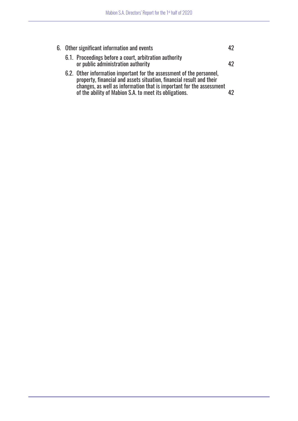|  | 6. Other significant information and events                                                                                                                                                                                                                                     |      |  |
|--|---------------------------------------------------------------------------------------------------------------------------------------------------------------------------------------------------------------------------------------------------------------------------------|------|--|
|  | 6.1. Proceedings before a court, arbitration authority<br>or public administration authority                                                                                                                                                                                    | 42   |  |
|  | 6.2. Other information important for the assessment of the personnel,<br>property, financial and assets situation, financial result and their<br>changes, as well as information that is important for the assessment<br>of the ability of Mabion S.A. to meet its obligations. | 10 N |  |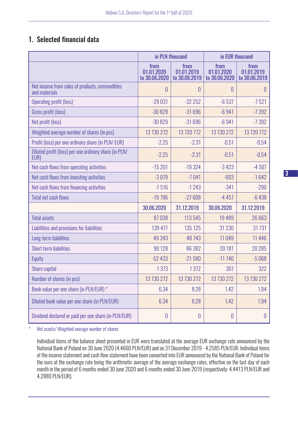# 1. Selected financial data

|                                                                 | in PLN thousand                     |                                     |                                     | in EUR thousand                     |
|-----------------------------------------------------------------|-------------------------------------|-------------------------------------|-------------------------------------|-------------------------------------|
|                                                                 | from<br>01.01.2020<br>to 30.06.2020 | from<br>01.01.2019<br>to 30.06.2019 | from<br>01.01.2020<br>to 30.06.2020 | from<br>01.01.2019<br>to 30.06.2019 |
| Net income from sales of products, commodities<br>and materials | 0                                   | $\theta$                            | 0                                   | 0                                   |
| <b>Operating profit (loss)</b>                                  | $-29031$                            | $-32252$                            | $-6537$                             | $-7521$                             |
| Gross profit (loss)                                             | $-30829$                            | $-31696$                            | $-6941$                             | $-7392$                             |
| Net profit (loss)                                               | $-30829$                            | $-31696$                            | $-6941$                             | $-7392$                             |
| Weighted average number of shares (in pcs)                      | 13 730 272                          | 13 720 772                          | 13 730 272                          | 13 720 772                          |
| Profit (loss) per one ordinary share (in PLN/EUR)               | $-2.25$                             | $-2.31$                             | $-0.51$                             | $-0.54$                             |
| Diluted profit (loss) per one ordinary share (in PLN/<br>EUR)   | $-2.25$                             | $-2.31$                             | $-0.51$                             | $-0.54$                             |
| Net cash flows from operating activities                        | $-15201$                            | $-19324$                            | $-3423$                             | $-4507$                             |
| Net cash flows from investing activities                        | $-3079$                             | $-7041$                             | $-693$                              | $-1642$                             |
| Net cash flows from financing activities                        | $-1516$                             | $-1243$                             | $-341$                              | $-290$                              |
| <b>Total net cash flows</b>                                     | $-19796$                            | $-27608$                            | $-4457$                             | $-6438$                             |
|                                                                 | 30.06.2020                          | 31.12.2019                          | 30.06.2020                          | 31.12.2019                          |
| <b>Total assets</b>                                             | 87038                               | 113545                              | 19 4 8 9                            | 26 663                              |
| Liabilities and provisions for liabilities                      | 139 471                             | 135 125                             | 31 2 30                             | 31 7 31                             |
| Long-term liabilities                                           | 49 34 3                             | 48 7 43                             | 11049                               | 11 4 4 6                            |
| <b>Short term liabilities</b>                                   | 90 128                              | 86 382                              | 20 181                              | 20 28 5                             |
| Equity                                                          | $-52433$                            | $-21580$                            | $-11740$                            | $-5068$                             |
| Share capital                                                   | 1373                                | 1 3 7 2                             | 307                                 | 322                                 |
| Number of shares (in pcs)                                       | 13 730 272                          | 13 730 272                          | 13 730 272                          | 13 730 272                          |
| Book value per one share (in PLN/EUR) *                         | 6.34                                | 8.28                                | 1.42                                | 1.94                                |
| Diluted book value per one share (in PLN/EUR)                   | 6.34                                | 8.28                                | 1.42                                | 1.94                                |
| Dividend declared or paid per one share (in PLN/EUR)            | $\overline{0}$                      | $\theta$                            | $\overline{0}$                      | 0                                   |

*\* Net assets/ Weighted average number of shares*

Individual items of the balance sheet presented in EUR were translated at the average EUR exchange rate announced by the National Bank of Poland on 30 June 2020 (4.4660 PLN/EUR) and on 31 December 2019 - 4.2585 PLN/EUR. Individual items of the income statement and cash flow statement have been converted into EUR announced by the National Bank of Poland for the euro at the exchange rate being the arithmetic average of the average exchange rates, effective on the last day of each month in the period of 6 months ended 30 June 2020 and 6 months ended 30 June 2019 (respectively: 4.4413 PLN/EUR and 4.2880 PLN/EUR).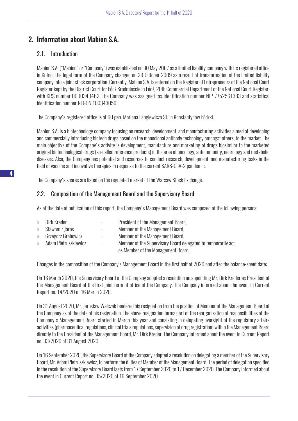# 2. Information about Mabion S.A.

# 2.1. Introduction

Mabion S.A. ("Mabion" or "Company") was established on 30 May 2007 as a limited liability company with its registered office in Kutno. The legal form of the Company changed on 29 October 2009 as a result of transformation of the limited liability company into a joint stock corporation. Currently, Mabion S.A. is entered on the Register of Entrepreneurs of the National Court Register kept by the District Court for Łódź Śródmieście in Łódź, 20th Commercial Department of the National Court Register, with KRS number 0000340462. The Company was assigned tax identification number NIP 7752561383 and statistical identification number REGON 100343056.

The Company's registered office is at 60 gen. Mariana Langiewicza St. in Konstantynów Łódzki.

Mabion S.A. is a biotechnology company focusing on research, development, and manufacturing activities aimed at developing and commercially introducing biotech drugs based on the monoclonal antibody technology amongst others, to the market. The main objective of the Company's activity is development, manufacture and marketing of drugs biosimilar to the marketed original biotechnological drugs (so-called reference products) in the area of oncology, autoimmunity, neurology and metabolic diseases. Also, the Company has potential and resources to conduct research, development, and manufacturing tasks in the field of vaccine and innovative therapies in response to the current SARS-CoV-2 pandemic.

The Company's shares are listed on the regulated market of the Warsaw Stock Exchange.

# 2.2. Composition of the Management Board and the Supervisory Board

As at the date of publication of this report, the Company's Management Board was composed of the following persons:

- » Dirk Kreder President of the Management Board,
- » Sławomir Jaros Member of the Management Board,
- » Grzegorz Grabowicz Member of the Management Board,
- » Adam Pietruszkiewicz Member of the Supervisory Board delegated to temporarily act as Member of the Management Board.

Changes in the composition of the Company's Management Board in the first half of 2020 and after the balance-sheet date:

On 16 March 2020, the Supervisory Board of the Company adopted a resolution on appointing Mr. Dirk Kreder as President of the Management Board of the first joint term of office of the Company. The Company informed about the event in Current Report no. 14/2020 of 16 March 2020.

On 31 August 2020, Mr. Jarosław Walczak tendered his resignation from the position of Member of the Management Board of the Company as of the date of his resignation. The above resignation forms part of the reorganization of responsibilities of the Company's Management Board started in March this year and consisting in delegating oversight of the regulatory affairs activities (pharmaceutical regulations, clinical trials regulations, supervision of drug registration) within the Management Board directly to the President of the Management Board, Mr. Dirk Kreder. The Company informed about the event in Current Report no. 33/2020 of 31 August 2020.

On 16 September 2020, the Supervisory Board of the Company adopted a resolution on delegating a member of the Supervisory Board, Mr. Adam Pietruszkiewicz, to perform the duties of Member of the Management Board. The period of delegation specified in the resolution of the Supervisory Board lasts from 17 September 2020 to 17 December 2020. The Company informed about the event in Current Report no. 35/2020 of 16 September 2020.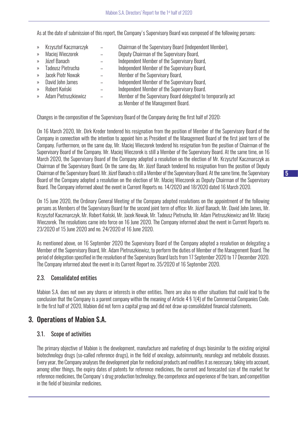As at the date of submission of this report, the Company's Supervisory Board was composed of the following persons:

» Krzysztof Kaczmarczyk – Chairman of the Supervisory Board (Independent Member), » Maciej Wieczorek – Deputy Chairman of the Supervisory Board, » Józef Banach – Independent Member of the Supervisory Board, » Tadeusz Pietrucha – Independent Member of the Supervisory Board, » Jacek Piotr Nowak – Member of the Supervisory Board, » David John James – Independent Member of the Supervisory Board, » Robert Koński – Independent Member of the Supervisory Board. » Adam Pietruszkiewicz – Member of the Supervisory Board delegated to temporarily act as Member of the Management Board.

Changes in the composition of the Supervisory Board of the Company during the first half of 2020:

On 16 March 2020, Mr. Dirk Kreder tendered his resignation from the position of Member of the Supervisory Board of the Company in connection with the intention to appoint him as President of the Management Board of the first joint term of the Company. Furthermore, on the same day, Mr. Maciej Wieczorek tendered his resignation from the position of Chairman of the Supervisory Board of the Company. Mr. Maciej Wieczorek is still a Member of the Supervisory Board. At the same time, on 16 March 2020, the Supervisory Board of the Company adopted a resolution on the election of Mr. Krzysztof Kaczmarczyk as Chairman of the Supervisory Board. On the same day, Mr. Józef Banach tendered his resignation from the position of Deputy Chairman of the Supervisory Board. Mr. Józef Banach is still a Member of the Supervisory Board. At the same time, the Supervisory Board of the Company adopted a resolution on the election of Mr. Maciej Wieczorek as Deputy Chairman of the Supervisory Board. The Company informed about the event in Current Reports no. 14/2020 and 18/2020 dated 16 March 2020.

On 15 June 2020, the Ordinary General Meeting of the Company adopted resolutions on the appointment of the following persons as Members of the Supervisory Board for the second joint term of office: Mr. Józef Banach, Mr. David John James, Mr. Krzysztof Kaczmarczyk, Mr. Robert Koński, Mr. Jacek Nowak, Mr. Tadeusz Pietrucha, Mr. Adam Pietruszkiewicz and Mr. Maciej Wieczorek. The resolutions came into force on 16 June 2020. The Company informed about the event in Current Reports no. 23/2020 of 15 June 2020 and no. 24/2020 of 16 June 2020.

As mentioned above, on 16 September 2020 the Supervisory Board of the Company adopted a resolution on delegating a Member of the Supervisory Board, Mr. Adam Pietruszkiewicz, to perform the duties of Member of the Management Board. The period of delegation specified in the resolution of the Supervisory Board lasts from 17 September 2020 to 17 December 2020. The Company informed about the event in its Current Report no. 35/2020 of 16 September 2020.

# 2.3. Consolidated entities

Mabion S.A. does not own any shares or interests in other entities. There are also no other situations that could lead to the conclusion that the Company is a parent company within the meaning of Article 4 § 1(4) of the Commercial Companies Code. In the first half of 2020, Mabion did not form a capital group and did not draw up consolidated financial statements.

# 3. Operations of Mabion S.A.

# 3.1. Scope of activities

The primary objective of Mabion is the development, manufacture and marketing of drugs biosimilar to the existing original biotechnology drugs (so-called reference drugs), in the field of oncology, autoimmunity, neurology and metabolic diseases. Every year, the Company analyses the development plan for medicinal products and modifies it as necessary, taking into account, among other things, the expiry dates of patents for reference medicines, the current and forecasted size of the market for reference medicines, the Company's drug production technology, the competence and experience of the team, and competition in the field of biosimilar medicines.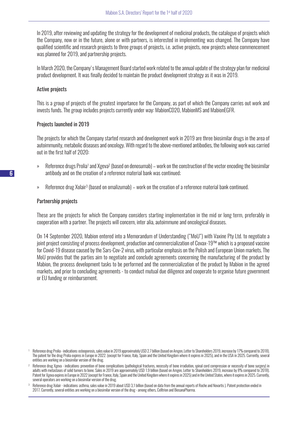In 2019, after reviewing and updating the strategy for the development of medicinal products, the catalogue of projects which the Company, now or in the future, alone or with partners, is interested in implementing was changed. The Company have qualified scientific and research projects to three groups of projects, i.e. active projects, new projects whose commencement was planned for 2019, and partnership projects.

In March 2020, the Company's Management Board started work related to the annual update of the strategy plan for medicinal product development. It was finally decided to maintain the product development strategy as it was in 2019.

#### Active projects

This is a group of projects of the greatest importance for the Company, as part of which the Company carries out work and invests funds. The group includes projects currently under way: MabionCD20, MabionMS and MabionEGFR.

#### Projects launched in 2019

The projects for which the Company started research and development work in 2019 are three biosimilar drugs in the area of autoimmunity, metabolic diseases and oncology. With regard to the above-mentioned antibodies, the following work was carried out in the first half of 2020:

- » Reference drugs Prolia1 and Xgeva2 (based on denosumab) work on the construction of the vector encoding the biosimilar antibody and on the creation of a reference material bank was continued;
- » Reference drug Xolair3 (based on omalizumab) work on the creation of a reference material bank continued.

#### Partnership projects

These are the projects for which the Company considers starting implementation in the mid or long term, preferably in cooperation with a partner. The projects will concern, inter alia, autoimmune and oncological diseases.

On 14 September 2020, Mabion entered into a Memorandum of Understanding ("MoU") with Vaxine Pty Ltd. to negotiate a joint project consisting of process development, production and commercialization of Covax-19™ which is a proposed vaccine for Covid-19 disease caused by the Sars-Cov-2 virus, with particular emphasis on the Polish and European Union markets. The MoU provides that the parties aim to negotiate and conclude agreements concerning the manufacturing of the product by Mabion, the process development tasks to be performed and the commercialization of the product by Mabion in the agreed markets, and prior to concluding agreements - to conduct mutual due diligence and cooperate to organise future government or EU funding or reimbursement.

- <sup>1</sup> Reference drug Prolia indications: osteoporosis, sales value in 2019 approximately USD 2.7 billion (based on Amgen, Letter to Shareholders 2019, increase by 17% compared to 2018). The patent for the drug Prolia expires in Europe in 2022. (except for France, Italy, Spain and the United Kingdom where it expires in 2025), and in the USA in 2025. Currently, several entities are working on a biosimilar version of the drug.
- Reference drug Xgeva indications: prevention of bone complications (pathological fractures, necessity of bone irradiation, spinal cord compression or necessity of bone surgery) in adults with metastases of solid tumors to bone. Sales in 2019 are approximately USD 1.9 billion (based on Amgen, Letter to Shareholders 2019, increase by 8% compared to 2018). Patent for Xgeva expires in Europe in 2022 (except for France, Italy, Spain and the United Kingdom where it expires in 2025) and in the United States, where it expires in 2025. Currently, several operators are working on a biosimilar version of the drug.

<sup>3</sup> Reference drug Xolair - indications: asthma, sales value in 2019 about USD 3,1 billion (based on data from the annual reports of Roche and Novartis ). Patent protection ended in 2017. Currently, several entities are working on a biosimilar version of the drug - among others, Celltrion and BiosanaPharma.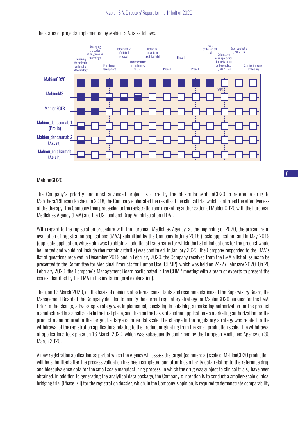

The status of projects implemented by Mabion S.A. is as follows.

## MahinnCD<sub>20</sub>

The Company's priority and most advanced project is currently the biosimilar MabionCD20, a reference drug to MabThera/Rituxan (Roche). In 2018, the Company elaborated the results of the clinical trial which confirmed the effectiveness of the therapy. The Company then proceeded to the registration and marketing authorisation of MabionCD20 with the European Medicines Agency (EMA) and the US Food and Drug Administration (FDA).

With regard to the registration procedure with the European Medicines Agency, at the beginning of 2020, the procedure of evaluation of registration applications (MAA) submitted by the Company in June 2018 (basic application) and in May 2019 (duplicate application, whose aim was to obtain an additional trade name for which the list of indications for the product would be limited and would not include rheumatoid arthritis) was continued. In January 2020, the Company responded to the EMA's list of questions received in December 2019 and in February 2020, the Company received from the EMA a list of issues to be presented to the Committee for Medicinal Products for Human Use (CHMP), which was held on 24-27 February 2020. On 26 February 2020, the Company's Management Board participated in the CHMP meeting with a team of experts to present the issues identified by the EMA in the invitation (oral explanation).

Then, on 16 March 2020, on the basis of opinions of external consultants and recommendations of the Supervisory Board, the Management Board of the Company decided to modify the current regulatory strategy for MabionCD20 pursued for the EMA. Prior to the change, a two-step strategy was implemented, consisting in obtaining a marketing authorization for the product manufactured in a small scale in the first place, and then on the basis of another application - a marketing authorization for the product manufactured in the target, i.e. large commercial scale. The change in the regulatory strategy was related to the withdrawal of the registration applications relating to the product originating from the small production scale. The withdrawal of applications took place on 16 March 2020, which was subsequently confirmed by the European Medicines Agency on 30 March 2020.

A new registration application, as part of which the Agency will assess the target (commercial) scale of MabionCD20 production, will be submitted after the process validation has been completed and after biosimilarity data relating to the reference drug and bioequivalence data for the small scale manufacturing process, in which the drug was subiect to clinical trials, have been obtained. In addition to generating the analytical data package, the Company's intention is to conduct a smaller-scale clinical bridging trial (Phase I/II) for the registration dossier, which, in the Company's opinion, is required to demonstrate comparability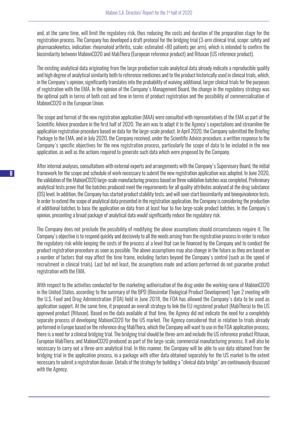and, at the same time, will limit the regulatory risk, thus reducing the costs and duration of the preparation stage for the registration process. The Company has developed a draft protocol for the bridging trial (3-arm clinical trial, scope: safety and pharmacokinetics, indication: rheumatoid arthritis, scale: estimated <80 patients per arm), which is intended to confirm the biosimilarity between MabionCD20 and MabThera (European reference product) and Rituxan (US reference product).

The existing analytical data originating from the large production scale analytical data already indicate a reproducible quality and high degree of analytical similarity both to reference medicines and to the product historically used in clinical trials, which, in the Company's opinion, significantly translates into the probability of waiving additional, larger clinical trials for the purposes of registration with the EMA. In the opinion of the Company's Management Board, the change in the regulatory strategy was the optimal path in terms of both cost and time in terms of product registration and the possibility of commercialisation of MabionCD20 in the European Union.

The scope and format of the new registration application (MAA) were consulted with representatives of the EMA as part of the Scientific Advice procedure in the first half of 2020. The aim was to adapt it to the Agency's expectations and streamline the application registration procedure based on data for the large-scale product. In April 2020, the Company submitted the Briefing Package to the EMA, and in July 2020, the Company received, under the Scientific Advice procedure, a written response to the Company's specific objectives for the new registration process, particularly the scope of data to be included in the new application, as well as the actions required to generate such data which were proposed by the Company.

After internal analyses, consultations with external experts and arrangements with the Company's Supervisory Board, the initial framework for the scope and schedule of work necessary to submit the new registration application was adopted. In June 2020, the validation of the MabionCD20 large-scale manufacturing process based on three validation batches was completed. Preliminary analytical tests prove that the batches produced meet the requirements for all quality attributes analysed at the drug substance (DS) level. In addition, the Company has started product stability tests, and will soon start biosimilarity and bioequivalence tests. In order to extend the scope of analytical data presented in the registration application, the Company is considering the production of additional batches to base the application on data from at least four to five large-scale product batches. In the Company's opinion, presenting a broad package of analytical data would significantly reduce the regulatory risk.

The Company does not preclude the possibility of modifying the above assumptions should circumstances require it. The Company's objective is to respond quickly and decisively to all the needs arising from the registration process in order to reduce the regulatory risk while keeping the costs of the process at a level that can be financed by the Company and to conduct the product registration procedure as soon as possible. The above assumptions may also change in the future as they are based on a number of factors that may affect the time frame, including factors beyond the Company's control (such as the speed of recruitment in clinical trials). Last but not least, the assumptions made and actions performed do not guarantee product registration with the EMA.

With respect to the activities conducted for the marketing authorisation of the drug under the working name of MabionCD20 in the United States, according to the summary of the BPD (Biosimilar Biological Product Development) Type 2 meeting with the U.S. Food and Drug Administration (FDA) held in June 2018, the FDA has allowed the Company's data to be used as application support. At the same time, it proposed an overall strategy to link the EU registered product (MabThera) to the US approved product (Rituxan). Based on the data available at that time, the Agency did not indicate the need for a completely separate process of developing MabionCD20 for the US market. The Agency considered that in relation to trials already performed in Europe based on the reference drug MabThera, which the Company will want to use in the FDA application process, there is a need for a clinical bridging trial. The bridging trial should be three-arm and include the US reference product Rituxan, European MabThera, and MabionCD20 produced as part of the large-scale, commercial manufacturing process. It will also be necessary to carry out a three-arm analytical trial. In this manner, the Company will be able to use data obtained from the bridging trial in the application process, in a package with other data obtained separately for the US market to the extent necessary to submit a registration dossier. Details of the strategy for building a "clinical data bridge" are continuously discussed with the Agency.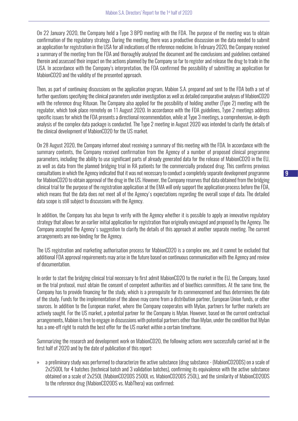On 22 January 2020, the Company held a Type 3 BPD meeting with the FDA. The purpose of the meeting was to obtain confirmation of the regulatory strategy. During the meeting, there was a productive discussion on the data needed to submit an application for registration in the USA for all indications of the reference medicine. In February 2020, the Company received a summary of the meeting from the FDA and thoroughly analysed the document and the conclusions and guidelines contained therein and assessed their impact on the actions planned by the Company so far to register and release the drug to trade in the USA. In accordance with the Company's interpretation, the FDA confirmed the possibility of submitting an application for MabionCD20 and the validity of the presented approach.

Then, as part of continuing discussions on the application program, Mabion S.A. prepared and sent to the FDA both a set of further questions specifying the clinical parameters under investigation as well as detailed comparative analyses of MabionCD20 with the reference drug Rituxan. The Company also applied for the possibility of holding another (Type 2) meeting with the regulator, which took place remotely on 11 August 2020. In accordance with the FDA guidelines, Type 2 meetings address specific issues for which the FDA presents a directional recommendation, while at Type 3 meetings, a comprehensive, in-depth analysis of the complex data package is conducted. The Type 2 meeting in August 2020 was intended to clarify the details of the clinical development of MabionCD20 for the US market.

On 28 August 2020, the Company informed about receiving a summary of this meeting with the FDA. In accordance with the summary contents, the Company received confirmation from the Agency of a number of proposed clinical programme parameters, including the ability to use significant parts of already generated data for the release of MabionCD20 in the EU, as well as data from the planned bridging trial in RA patients for the commercially produced drug. This confirms previous consultations in which the Agency indicated that it was not necessary to conduct a completely separate development programme for MabionCD20 to obtain approval of the drug in the US. However, the Company reserves that data obtained from the bridging clinical trial for the purpose of the registration application at the EMA will only support the application process before the FDA, which means that the data does not meet all of the Agency's expectations regarding the overall scope of data. The detailed data scope is still subject to discussions with the Agency.

In addition, the Company has also begun to verify with the Agency whether it is possible to apply an innovative regulatory strategy that allows for an earlier initial application for registration than originally envisaged and proposed by the Agency. The Company accepted the Agency's suggestion to clarify the details of this approach at another separate meeting. The current arrangements are non-binding for the Agency.

The US registration and marketing authorisation process for MabionCD20 is a complex one, and it cannot be excluded that additional FDA approval requirements may arise in the future based on continuous communication with the Agency and review of documentation.

In order to start the bridging clinical trial necessary to first admit MabionCD20 to the market in the EU, the Company, based on the trial protocol, must obtain the consent of competent authorities and of bioethics committees. At the same time, the Company has to provide financing for the study, which is a prerequisite for its commencement and thus determines the date of the study. Funds for the implementation of the above may come from a distribution partner, European Union funds, or other sources. In addition to the European market, where the Company cooperates with Mylan, partners for further markets are actively sought. For the US market, a potential partner for the Company is Mylan. However, based on the current contractual arrangements, Mabion is free to engage in discussions with potential partners other than Mylan, under the condition that Mylan has a one-off right to match the best offer for the US market within a certain timeframe.

Summarizing the research and development work on MabionCD20, the following actions were successfully carried out in the first half of 2020 and by the date of publication of this report:

» a preliminary study was performed to characterize the active substance (drug substance - (MabionCD20DS) on a scale of 2x2500L for 4 batches (technical batch and 3 validation batches), confirming its equivalence with the active substance obtained on a scale of 2x250L (MabionCD20DS 2500L vs. MabionCD20DS 250L), and the similarity of MabionCD20DS to the reference drug (MabionCD20DS vs. MabThera) was confirmed;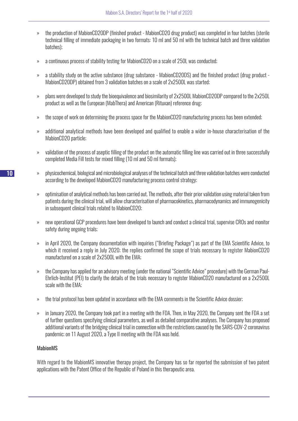- » the production of MabionCD20DP (finished product MabionCD20 drug product) was completed in four batches (sterile technical filling of immediate packaging in two formats: 10 ml and 50 ml with the technical batch and three validation batches);
- » a continuous process of stability testing for MabionCD20 on a scale of 250L was conducted;
- » a stability study on the active substance (drug substance MabionCD20DS) and the finished product (drug product MabionCD20DP) obtained from 3 validation batches on a scale of 2x2500L was started;
- » plans were developed to study the bioequivalence and biosimilarity of 2x2500L MabionCD20DP compared to the 2x250L product as well as the European (MabThera) and American (Rituxan) reference drug;
- » the scope of work on determining the process space for the MabionCD20 manufacturing process has been extended;
- » additional analytical methods have been developed and qualified to enable a wider in-house characterisation of the MabionCD20 particle;
- » validation of the process of aseptic filling of the product on the automatic filling line was carried out in three successfully completed Media Fill tests for mixed filling (10 ml and 50 ml formats);
- » physicochemical, biological and microbiological analyses of the technical batch and three validation batches were conducted according to the developed MabionCD20 manufacturing process control strategy;
- » optimisation of analytical methods has been carried out. The methods, after their prior validation using material taken from patients during the clinical trial, will allow characterisation of pharmacokinetics, pharmacodynamics and immunogenicity in subsequent clinical trials related to MabionCD20;
- » new operational GCP procedures have been developed to launch and conduct a clinical trial, supervise CROs and monitor safety during ongoing trials;
- » in April 2020, the Company documentation with inquiries ("Briefing Package") as part of the EMA Scientific Advice, to which it received a reply in July 2020; the replies confirmed the scope of trials necessary to register MabionCD20 manufactured on a scale of 2x2500L with the EMA;
- » the Company has applied for an advisory meeting (under the national "Scientific Advice" procedure) with the German Paul-Ehrlich-Institut (PEI) to clarify the details of the trials necessary to register MabionCD20 manufactured on a 2x2500L scale with the EMA;
- » the trial protocol has been updated in accordance with the EMA comments in the Scientific Advice dossier;
- » in January 2020, the Company took part in a meeting with the FDA. Then, in May 2020, the Company sent the FDA a set of further questions specifying clinical parameters, as well as detailed comparative analyses. The Company has proposed additional variants of the bridging clinical trial in connection with the restrictions caused by the SARS-COV-2 coronavirus pandemic; on 11 August 2020, a Type II meeting with the FDA was held.

## MabionMS

With regard to the MabionMS innovative therapy project, the Company has so far reported the submission of two patent applications with the Patent Office of the Republic of Poland in this therapeutic area.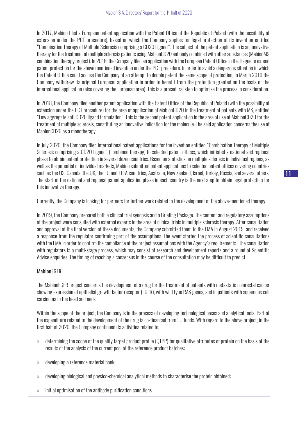In 2017, Mabion filed a European patent application with the Patent Office of the Republic of Poland (with the possibility of extension under the PCT procedure), based on which the Company applies for legal protection of its invention entitled "Combination Therapy of Multiple Sclerosis comprising a CD20 Ligand". The subject of the patent application is an innovative therapy for the treatment of multiple sclerosis patients using MabionCD20 antibody combined with other substances (MabionMS combination therapy project). In 2018, the Company filed an application with the European Patent Office in the Hague to extend patent protection for the above mentioned invention under the PCT procedure. In order to avoid a dangerous situation in which the Patent Office could accuse the Company of an attempt to double patent the same scope of protection, in March 2019 the Company withdrew its original European application in order to benefit from the protection granted on the basis of the international application (also covering the European area). This is a procedural step to optimise the process in consideration.

In 2018, the Company filed another patent application with the Patent Office of the Republic of Poland (with the possibility of extension under the PCT procedure) for the area of application of MabionCD20 in the treatment of patients with MS, entitled "Low aggregate anti CD20 ligand formulation". This is the second patent application in the area of use of MabionCD20 for the treatment of multiple sclerosis, constituting an innovative indication for the molecule. The said application concerns the use of MabionCD20 as a monotherapy.

In July 2020, the Company filed international patent applications for the invention entitled "Combination Therapy of Multiple Sclerosis comprising a CD20 Ligand" (combined therapy) to selected patent offices, which initiated a national and regional phase to obtain patent protection in several dozen countries. Based on statistics on multiple sclerosis in individual regions, as well as the potential of individual markets, Mabion submitted patent applications to selected patent offices covering countries such as the US, Canada, the UK, the EU and EFTA countries, Australia, New Zealand, Israel, Turkey, Russia, and several others. The start of the national and regional patent application phase in each country is the next step to obtain legal protection for this innovative therapy.

Currently, the Company is looking for partners for further work related to the development of the above-mentioned therapy.

In 2019, the Company prepared both a clinical trial synopsis and a Briefing Package. The content and regulatory assumptions of the project were consulted with external experts in the area of clinical trials in multiple sclerosis therapy. After consultation and approval of the final version of these documents, the Company submitted them to the EMA in August 2019 and received a response from the regulator confirming part of the assumptions. The event started the process of scientific consultations with the EMA in order to confirm the compliance of the project assumptions with the Agency's requirements. The consultation with regulators is a multi-stage process, which may consist of research and development reports and a round of Scientific Advice enquiries. The timing of reaching a consensus in the course of the consultation may be difficult to predict.

## MabionEGFR

The MabionEGFR project concerns the development of a drug for the treatment of patients with metastatic colorectal cancer showing expression of epithelial growth factor receptor (EGFR), with wild type RAS genes, and in patients with squamous cell carcinoma in the head and neck.

Within the scope of the project, the Company is in the process of developing technological bases and analytical tools. Part of the expenditure related to the development of the drug is co-financed from EU funds. With regard to the above project, in the first half of 2020, the Company continued its activities related to:

- » determining the scope of the quality target product profile (QTPP) for qualitative attributes of protein on the basis of the results of the analysis of the current pool of the reference product batches;
- » developing a reference material bank;
- » developing biological and physico-chemical analytical methods to characterise the protein obtained;
- » initial optimisation of the antibody purification conditions.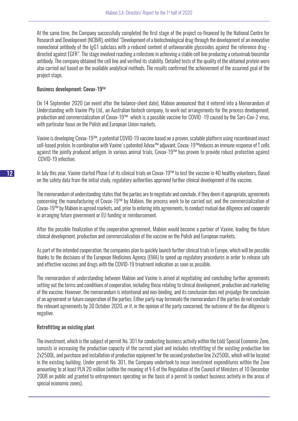At the same time, the Company successfully completed the first stage of the project co-financed by the National Centre for Research and Development (NCBiR), entitled "Development of a biotechnological drug through the development of an innovative monoclonal antibody of the IgG1 subclass with a reduced content of unfavourable glycosides against the reference drug directed against EGFR". The stage involved reaching a milestone in achieving a stable cell line producing a cetuximab biosimilar antibody. The company obtained the cell line and verified its stability. Detailed tests of the quality of the obtained protein were also carried out based on the available analytical methods. The results confirmed the achievement of the assumed goal of the project stage.

## Business development: Covax-19TM

On 14 September 2020 (an event after the balance-sheet date), Mabion announced that it entered into a Memorandum of Understanding with Vaxine Pty Ltd., an Australian biotech company, to work out arrangements for the process development, production and commercialization of Covax-19™ which is a possible vaccine for COVID -19 caused by the Sars-Cov-2 virus, with particular focus on the Polish and European Union markets.

Vaxine is developing Covax-19™, a potential COVID-19 vaccine based on a proven, scalable platform using recombinant insect cell-based protein. In combination with Vaxine's patented Advax™ adjuvant, Covax-19™induces an immune response of T cells against the jointly produced antigen. In various animal trials, Covax-19™ has proven to provide robust protection against COVID-19 infection.

In July this year, Vaxine started Phase I of its clinical trials on Covax-19™ to test the vaccine in 40 healthy volunteers. Based on the safety data from the initial study, regulatory authorities approved further clinical development of the vaccine.

The memorandum of understanding states that the parties are to negotiate and conclude, if they deem it appropriate, agreements concerning the manufacturing of Covax-19™ by Mabion, the process work to be carried out, and the commercialization of Covax-19™ by Mabion in agreed markets, and, prior to entering into agreements, to conduct mutual due diligence and cooperate in arranging future government or EU funding or reimbursement.

After the possible finalization of the cooperation agreement, Mabion would become a partner of Vaxine, leading the future clinical development, production and commercialization of the vaccine on the Polish and European markets.

As part of the intended cooperation, the companies plan to quickly launch further clinical trials in Europe, which will be possible thanks to the decisions of the European Medicines Agency (EMA) to speed up regulatory procedures in order to release safe and effective vaccines and drugs with the COVID-19 treatment indication as soon as possible.

The memorandum of understanding between Mabion and Vaxine is aimed at negotiating and concluding further agreements setting out the terms and conditions of cooperation, including those relating to clinical development, production and marketing of the vaccine. However, the memorandum is intentional and non-binding, and its conclusion does not prejudge the conclusion of an agreement or future cooperation of the parties. Either party may terminate the memorandum if the parties do not conclude the relevant agreements by 30 October 2020, or if, in the opinion of the party concerned, the outcome of the due diligence is negative.

## Retrofitting an existing plant

The investment, which is the subject of permit No. 301 for conducting business activity within the Łódź Special Economic Zone, consists in increasing the production capacity of the current plant and includes retrofitting of the existing production line 2x2500L, and purchase and installation of production equipment for the second production line 2x2500L, which will be located in the existing building. Under permit No. 301, the Company undertook to incur investment expenditures within the Zone amounting to at least PLN 20 million (within the meaning of § 6 of the Regulation of the Council of Ministers of 10 December 2008 on public aid granted to entrepreneurs operating on the basis of a permit to conduct business activity in the areas of special economic zones).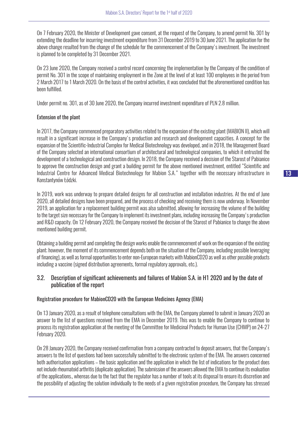On 7 February 2020, the Minister of Development gave consent, at the request of the Company, to amend permit No. 301 by extending the deadline for incurring investment expenditure from 31 December 2019 to 30 June 2021. The application for the above change resulted from the change of the schedule for the commencement of the Company's investment. The investment is planned to be completed by 31 December 2021.

On 23 June 2020, the Company received a control record concerning the implementation by the Company of the condition of permit No. 301 in the scope of maintaining employment in the Zone at the level of at least 100 employees in the period from 2 March 2017 to 1 March 2020. On the basis of the control activities, it was concluded that the aforementioned condition has been fulfilled.

Under permit no. 301, as of 30 June 2020, the Company incurred investment expenditure of PLN 2.8 million.

## Extension of the plant

In 2017, the Company commenced preparatory activities related to the expansion of the existing plant (MABION II), which will result in a significant increase in the Company's production and research and development capacities. A concept for the expansion of the Scientific-Industrial Complex for Medical Biotechnology was developed, and in 2018, the Management Board of the Company selected an international consortium of architectural and technological companies, to which it entrusted the development of a technological and construction design. In 2018, the Company received a decision of the Starost of Pabianice to approve the construction design and grant a building permit for the above mentioned investment, entitled "Scientific and Industrial Centre for Advanced Medical Biotechnology for Mabion S.A." together with the necessary infrastructure in Konstantynów Łódzki.

In 2019, work was underway to prepare detailed designs for all construction and installation industries. At the end of June 2020, all detailed designs have been prepared, and the process of checking and receiving them is now underway. In November 2019, an application for a replacement building permit was also submitted, allowing for increasing the volume of the building to the target size necessary for the Company to implement its investment plans, including increasing the Company's production and R&D capacity. On 12 February 2020, the Company received the decision of the Starost of Pabianice to change the above mentioned building permit.

Obtaining a building permit and completing the design works enable the commencement of work on the expansion of the existing plant; however, the moment of its commencement depends both on the situation of the Company, including possible leveraging of financing), as well as formal opportunities to enter non-European markets with MabionCD20 as well as other possible products including a vaccine (signed distribution agreements, formal regulatory approvals, etc.).

# 3.2. Description of significant achievements and failures of Mabion S.A. in H1 2020 and by the date of publication of the report

## Registration procedure for MabionCD20 with the European Medicines Agency (EMA)

On 13 January 2020, as a result of telephone consultations with the EMA, the Company planned to submit in January 2020 an answer to the list of questions received from the EMA in December 2019. This was to enable the Company to continue to process its registration application at the meeting of the Committee for Medicinal Products for Human Use (CHMP) on 24-27 February 2020.

On 28 January 2020, the Company received confirmation from a company contracted to deposit answers, that the Company's answers to the list of questions had been successfully submitted to the electronic system of the EMA. The answers concerned both authorisation applications – the basic application and the application in which the list of indications for the product does not include rheumatoid arthritis (duplicate application). The submission of the answers allowed the EMA to continue its evaluation of the applications., whereas due to the fact that the regulator has a number of tools at its disposal to ensure its discretion and the possibility of adjusting the solution individually to the needs of a given registration procedure, the Company has stressed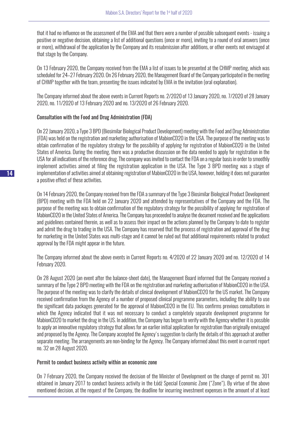that it had no influence on the assessment of the EMA and that there were a number of possible subsequent events - issuing a positive or negative decision, obtaining a list of additional questions (once or more), inviting to a round of oral answers (once or more), withdrawal of the application by the Company and its resubmission after additions, or other events not envisaged at that stage by the Company.

On 13 February 2020, the Company received from the EMA a list of issues to be presented at the CHMP meeting, which was scheduled for 24–27 February 2020. On 26 February 2020, the Management Board of the Company participated in the meeting of CHMP together with the team, presenting the issues indicated by EMA in the invitation (oral explanation).

The Company informed about the above events in Current Reports no. 2/2020 of 13 January 2020, no. 7/2020 of 28 January 2020, no. 11/2020 of 13 February 2020 and no. 13/2020 of 26 February 2020.

# Consultation with the Food and Drug Administration (FDA)

On 22 January 2020, a Type 3 BPD (Biosimilar Biological Product Development) meeting with the Food and Drug Administration (FDA) was held on the registration and marketing authorisation of MabionCD20 in the USA. The purpose of the meeting was to obtain confirmation of the regulatory strategy for the possibility of applying for registration of MabionCD20 in the United States of America. During the meeting, there was a productive discussion on the data needed to apply for registration in the USA for all indications of the reference drug. The company was invited to contact the FDA on a regular basis in order to smoothly implement activities aimed at filing the registration application in the USA. The Type 3 BPD meeting was a stage of implementation of activities aimed at obtaining registration of MabionCD20 in the USA, however, holding it does not guarantee a positive effect of these activities.

On 14 February 2020, the Company received from the FDA a summary of the Type 3 Biosimilar Biological Product Development (BPD) meeting with the FDA held on 22 January 2020 and attended by representatives of the Company and the FDA. The purpose of the meeting was to obtain confirmation of the regulatory strategy for the possibility of applying for registration of MabionCD20 in the United States of America. The Company has proceeded to analyse the document received and the applications and guidelines contained therein, as well as to assess their impact on the actions planned by the Company to date to register and admit the drug to trading in the USA. The Company has reserved that the process of registration and approval of the drug for marketing in the United States was multi-stage and it cannot be ruled out that additional requirements related to product approval by the FDA might appear in the future.

The Company informed about the above events in Current Reports no. 4/2020 of 22 January 2020 and no. 12/2020 of 14 February 2020.

On 28 August 2020 (an event after the balance-sheet date), the Management Board informed that the Company received a summary of the Type 2 BPD meeting with the FDA on the registration and marketing authorisation of MabionCD20 in the USA. The purpose of the meeting was to clarify the details of clinical development of MabionCD20 for the US market. The Company received confirmation from the Agency of a number of proposed clinical programme parameters, including the ability to use the significant data packages generated for the approval of MabionCD20 in the EU. This confirms previous consultations in which the Agency indicated that it was not necessary to conduct a completely separate development programme for MabionCD20 to market the drug in the US. In addition, the Company has begun to verify with the Agency whether it is possible to apply an innovative regulatory strategy that allows for an earlier initial application for registration than originally envisaged and proposed by the Agency. The Company accepted the Agency's suggestion to clarify the details of this approach at another separate meeting. The arrangements are non-binding for the Agency. The Company informed about this event in current report no. 32 on 28 August 2020.

## Permit to conduct business activity within an economic zone

On 7 February 2020, the Company received the decision of the Minister of Development on the change of permit no. 301 obtained in January 2017 to conduct business activity in the Łódź Special Economic Zone ("Zone"). By virtue of the above mentioned decision, at the request of the Company, the deadline for incurring investment expenses in the amount of at least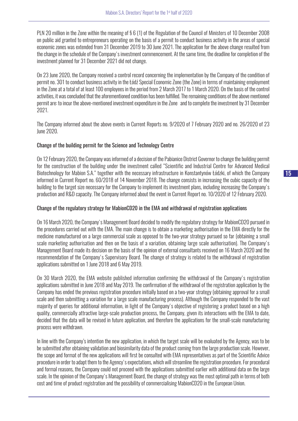PLN 20 million in the Zone within the meaning of § 6 (1) of the Regulation of the Council of Ministers of 10 December 2008 on public aid granted to entrepreneurs operating on the basis of a permit to conduct business activity in the areas of special economic zones was extended from 31 December 2019 to 30 June 2021. The application for the above change resulted from the change in the schedule of the Company's investment commencement. At the same time, the deadline for completion of the investment planned for 31 December 2021 did not change.

On 23 June 2020, the Company received a control record concerning the implementation by the Company of the condition of permit no. 301 to conduct business activity in the Łódź Special Economic Zone (the Zone) in terms of maintaining employment in the Zone at a total of at least 100 employees in the period from 2 March 2017 to 1 March 2020. On the basis of the control activities, it was concluded that the aforementioned condition has been fulfilled. The remaining conditions of the above mentioned permit are: to incur the above-mentioned investment expenditure in the Zone and to complete the investment by 31 December 2021.

The Company informed about the above events in Current Reports no. 9/2020 of 7 February 2020 and no. 26/2020 of 23 June 2020.

# Change of the building permit for the Science and Technology Centre

On 12 February 2020, the Company was informed of a decision of the Pabianice District Governor to change the building permit for the construction of the building under the investment called "Scientific and Industrial Centre for Advanced Medical Biotechnology for Mabion S.A." together with the necessary infrastructure in Konstantynów Łódzki, of which the Company informed in Current Report no. 60/2018 of 14 November 2018. The change consists in increasing the cubic capacity of the building to the target size necessary for the Company to implement its investment plans, including increasing the Company's production and R&D capacity. The Company informed about the event in Current Report no. 10/2020 of 12 February 2020.

# Change of the regulatory strategy for MabionCD20 in the EMA and withdrawal of registration applications

On 16 March 2020, the Company's Management Board decided to modify the regulatory strategy for MabionCD20 pursued in the procedures carried out with the EMA. The main change is to obtain a marketing authorisation in the EMA directly for the medicine manufactured on a large commercial scale as opposed to the two-year strategy pursued so far (obtaining a small scale marketing authorisation and then on the basis of a variation, obtaining large scale authorisation). The Company's Management Board made its decision on the basis of the opinion of external consultants received on 16 March 2020 and the recommendation of the Company's Supervisory Board. The change of strategy is related to the withdrawal of registration applications submitted on 1 June 2018 and 6 May 2019.

On 30 March 2020, the EMA website published information confirming the withdrawal of the Company's registration applications submitted in June 2018 and May 2019. The confirmation of the withdrawal of the registration application by the Company has ended the previous registration procedure initially based on a two-year strategy (obtaining approval for a small scale and then submitting a variation for a large scale manufacturing process). Although the Company responded to the vast majority of queries for additional information, in light of the Company's objective of registering a product based on a high quality, commercially attractive large-scale production process, the Company, given its interactions with the EMA to date, decided that the data will be revised in future application, and therefore the applications for the small-scale manufacturing process were withdrawn.

In line with the Company's intention the new application, in which the target scale will be evaluated by the Agency, was to be be submitted after obtaining validation and biosimilarity data of the product coming from the large production scale. However, the scope and format of the new applications will first be consulted with EMA representatives as part of the Scientific Advice procedure in order to adapt them to the Agency's expectations, which will streamline the registration procedure. For procedural and formal reasons, the Company could not proceed with the applications submitted earlier with additional data on the large scale. In the opinion of the Company's Management Board, the change of strategy was the most optimal path in terms of both cost and time of product registration and the possibility of commercialising MabionCD20 in the European Union.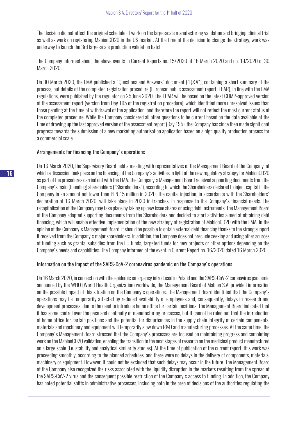The decision did not affect the original schedule of work on the large-scale manufacturing validation and bridging clinical trial as well as work on registering MabionCD20 in the US market. At the time of the decision to change the strategy, work was underway to launch the 3rd large-scale production validation batch.

The Company informed about the above events in Current Reports no. 15/2020 of 16 March 2020 and no. 19/2020 of 30 March 2020.

On 30 March 2020, the EMA published a "Questions and Answers" document ("Q&A"), containing a short summary of the process, but details of the completed registration procedure (European public assessment report, EPAR), in line with the EMA regulations, were published by the regulator on 25 June 2020. The EPAR will be based on the latest CHMP-approved version of the assessment report (version from Day 195 of the registration procedure), which identified more unresolved issues than those pending at the time of withdrawal of the application, and therefore the report will not reflect the most current status of the completed procedure. While the Company considered all other questions to be current based on the data available at the time of drawing up the last approved version of the assessment report (Day 195), the Company has since then made significant progress towards the submission of a new marketing authorisation application based on a high quality production process for a commercial scale.

#### Arrangements for financing the Company's operations

On 16 March 2020, the Supervisory Board held a meeting with representatives of the Management Board of the Company, at which a discussion took place on the financing of the Company's activities in light of the new regulatory strategy for MabionCD20 as part of the procedures carried out with the EMA. The Company's Management Board received supporting documents from the Company's main (founding) shareholders ("Shareholders"), according to which the Shareholders declared to inject capital in the Company in an amount not lower than PLN 15 million in 2020. The capital injection, in accordance with the Shareholders' declaration of 16 March 2020, will take place in 2020 in tranches, in response to the Company's financial needs. The recapitalisation of the Company may take place by taking up new issue shares or using debt instruments. The Management Board of the Company adopted supporting documents from the Shareholders and decided to start activities aimed at obtaining debt financing, which will enable effective implementation of the new strategy of registration of MabionCD20 with the EMA. In the opinion of the Company's Management Board, it should be possible to obtain external debt financing thanks to the strong support it received from the Company's major shareholders. In addition, the Company does not preclude seeking and using other sources of funding such as grants, subsidies from the EU funds, targeted funds for new projects or other options depending on the Company's needs and capabilities. The Company informed of the event in Current Report no. 16/2020 dated 16 March 2020.

## Information on the impact of the SARS-CoV-2 coronavirus pandemic on the Company's operations

On 16 March 2020, in connection with the epidemic emergency introduced in Poland and the SARS-CoV-2 coronavirus pandemic announced by the WHO (World Health Organization) worldwide, the Management Board of Mabion S.A. provided information on the possible impact of this situation on the Company's operations. The Management Board identified that the Company's operations may be temporarily affected by reduced availability of employees and, consequently, delays in research and development processes, due to the need to introduce home office for certain positions. The Management Board indicated that it has some control over the pace and continuity of manufacturing processes, but it cannot be ruled out that the introduction of home office for certain positions and the potential for disturbances in the supply chain integrity of certain components, materials and machinery and equipment will temporarily slow down R&D and manufacturing processes. At the same time, the Company's Management Board stressed that the Company's processes are focused on maintaining progress and completing work on the MabionCD20 validation, enabling the transition to the next stages of research on the medicinal product manufactured on a large scale (i.e. stability and analytical similarity studies). At the time of publication of the current report, this work was proceeding smoothly, according to the planned schedules, and there were no delays in the delivery of components, materials, machinery or equipment. However, it could not be excluded that such delays may occur in the future. The Management Board of the Company also recognized the risks associated with the liquidity disruption in the markets resulting from the spread of the SARS-CoV-2 virus and the consequent possible restriction of the Company's access to funding. In addition, the Company has noted potential shifts in administrative processes, including both in the area of decisions of the authorities regulating the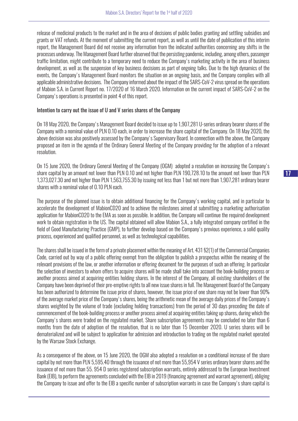release of medicinal products to the market and in the area of decisions of public bodies granting and settling subsidies and grants or VAT refunds. At the moment of submitting the current report, as well as until the date of publication of this interim report, the Management Board did not receive any information from the indicated authorities concerning any shifts in the processes underway. The Management Board further observed that the persisting pandemic, including, among others, passenger traffic limitation, might contribute to a temporary need to reduce the Company's marketing activity in the area of business development, as well as the suspension of key business decisions as part of ongoing talks. Due to the high dynamics of the events, the Company's Management Board monitors the situation on an ongoing basis, and the Company complies with all applicable administrative decisions. The Company informed about the impact of the SARS-CoV-2 virus spread on the operations of Mabion S.A. in Current Report no. 17/2020 of 16 March 2020. Information on the current impact of SARS-CoV-2 on the Company's operations is presented in point 4 of this report.

#### Intention to carry out the issue of U and V series shares of the Company

On 18 May 2020, the Company's Management Board decided to issue up to 1,907,281 U-series ordinary bearer shares of the Company with a nominal value of PLN 0.10 each, in order to increase the share capital of the Company. On 18 May 2020, the above decision was also positively assessed by the Company's Supervisory Board. In connection with the above, the Company proposed an item in the agenda of the Ordinary General Meeting of the Company providing for the adoption of a relevant resolution.

On 15 June 2020, the Ordinary General Meeting of the Company (OGM) adopted a resolution on increasing the Company's share capital by an amount not lower than PLN 0.10 and not higher than PLN 190,728.10 to the amount not lower than PLN 1,373,027.30 and not higher than PLN 1,563,755.30 by issuing not less than 1 but not more than 1,907,281 ordinary bearer shares with a nominal value of 0.10 PLN each.

The purpose of the planned issue is to obtain additional financing for the Company's working capital, and in particular to accelerate the development of MabionCD20 and to achieve the milestones aimed at submitting a marketing authorisation application for MabionCD20 to the EMA as soon as possible. In addition, the Company will continue the required development work to obtain registration in the US. The capital obtained will allow Mabion S.A., a fully integrated company certified in the field of Good Manufacturing Practice (GMP), to further develop based on the Company's previous experience, a solid quality process, experienced and qualified personnel, as well as technological capabilities.

The shares shall be issued in the form of a private placement within the meaning of Art. 431 §2(1) of the Commercial Companies Code, carried out by way of a public offering exempt from the obligation to publish a prospectus within the meaning of the relevant provisions of the law, or another information or offering document for the purposes of such an offering. In particular the selection of investors to whom offers to acquire shares will be made shall take into account the book-building process or another process aimed at acquiring entities holding shares. In the interest of the Company, all existing shareholders of the Company have been deprived of their pre-emptive rights to all new issue shares in full. The Management Board of the Company has been authorized to determine the issue price of shares, however, the issue price of one share may not be lower than 90% of the average market price of the Company's shares, being the arithmetic mean of the average daily prices of the Company's shares weighted by the volume of trade (excluding holding transactions) from the period of 30 days preceding the date of commencement of the book-building process or another process aimed at acquiring entities taking up shares, during which the Company's shares were traded on the regulated market. Share subscription agreements may be concluded no later than 6 months from the date of adoption of the resolution, that is no later than 15 December 2020. U series shares will be dematerialized and will be subject to application for admission and introduction to trading on the regulated market operated by the Warsaw Stock Exchange.

As a consequence of the above, on 15 June 2020, the OGM also adopted a resolution on a conditional increase of the share capital by not more than PLN 5,595.40 through the issuance of not more than 55,954 V series ordinary bearer shares and the issuance of not more than 55, 954 D series registered subscription warrants, entirely addressed to the European Investment Bank (EIB), to perform the agreements concluded with the EIB in 2019 (financing agreement and warrant agreement), obliging the Company to issue and offer to the EIB a specific number of subscription warrants in case the Company's share capital is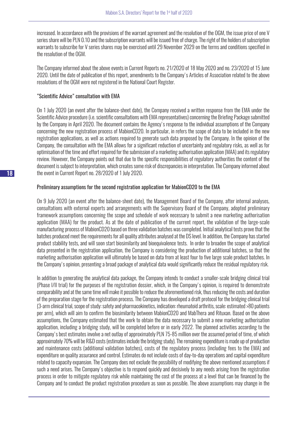increased. In accordance with the provisions of the warrant agreement and the resolution of the OGM, the issue price of one V series share will be PLN 0.10 and the subscription warrants will be issued free of charge. The right of the holders of subscription warrants to subscribe for V series shares may be exercised until 29 November 2029 on the terms and conditions specified in the resolution of the OGM.

The Company informed about the above events in Current Reports no. 21/2020 of 18 May 2020 and no. 23/2020 of 15 June 2020. Until the date of publication of this report, amendments to the Company's Articles of Association related to the above resolutions of the OGM were not registered in the National Court Register.

## "Scientific Advice" consultation with EMA

On 1 July 2020 (an event after the balance-sheet date), the Company received a written response from the EMA under the Scientific Advice procedure (i.e. scientific consultations with EMA representatives) concerning the Briefing Package submitted by the Company in April 2020. The document contains the Agency's response to the individual assumptions of the Company concerning the new registration process of MabionCD20. In particular, in refers the scope of data to be included in the new registration applications, as well as actions required to generate such data proposed by the Company. In the opinion of the Company, the consultation with the EMA allows for a significant reduction of uncertainty and regulatory risks, as well as for optimisation of the time and effort required for the submission of a marketing authorisation application (MAA) and its regulatory review. However, the Company points out that due to the specific responsibilities of regulatory authorities the content of the document is subject to interpretation, which creates some risk of discrepancies in interpretation. The Company informed about the event in Current Report no. 28/2020 of 1 July 2020.

## Preliminary assumptions for the second registration application for MabionCD20 to the EMA

On 9 July 2020 (an event after the balance-sheet date), the Management Board of the Company, after internal analyses, consultations with external experts and arrangements with the Supervisory Board of the Company, adopted preliminary framework assumptions concerning the scope and schedule of work necessary to submit a new marketing authorisation application (MAA) for the product. As at the date of publication of the current report, the validation of the large-scale manufacturing process of MabionCD20 based on three validation batches was completed. Initial analytical tests prove that the batches produced meet the requirements for all quality attributes analysed at the DS level. In addition, the Company has started product stability tests, and will soon start biosimilarity and bioequivalence tests. In order to broaden the scope of analytical data presented in the registration application, the Company is considering the production of additional batches, so that the marketing authorisation application will ultimately be based on data from at least four to five large scale product batches. In the Company's opinion, presenting a broad package of analytical data would significantly reduce the residual regulatory risk.

In addition to generating the analytical data package, the Company intends to conduct a smaller-scale bridging clinical trial (Phase I/II trial) for the purposes of the registration dossier, which, in the Company's opinion, is required to demonstrate comparability and at the same time will make it possible to reduce the aforementioned risk, thus reducing the costs and duration of the preparation stage for the registration process. The Company has developed a draft protocol for the bridging clinical trial (3-arm clinical trial, scope of study: safety and pharmacokinetics, indication: rheumatoid arthritis, scale: estimated >80 patients per arm), which will aim to confirm the biosimilarity between MabionCD20 and MabThera and Rituxan. Based on the above assumptions, the Company estimated that the work to obtain the data necessary to submit a new marketing authorisation application, including a bridging study, will be completed before or in early 2022. The planned activities according to the Company's best estimates involve a net outlay of approximately PLN 75-85 million over the assumed period of time, of which approximately 70% will be R&D costs (estimates include the bridging study). The remaining expenditure is made up of production and maintenance costs (additional validation batches), costs of the regulatory process (including fees to the EMA) and expenditure on quality assurance and control. Estimates do not include costs of day-to-day operations and capital expenditure related to capacity expansion. The Company does not exclude the possibility of modifying the above mentioned assumptions if such a need arises. The Company's objective is to respond quickly and decisively to any needs arising from the registration process in order to mitigate regulatory risk while maintaining the cost of the process at a level that can be financed by the Company and to conduct the product registration procedure as soon as possible. The above assumptions may change in the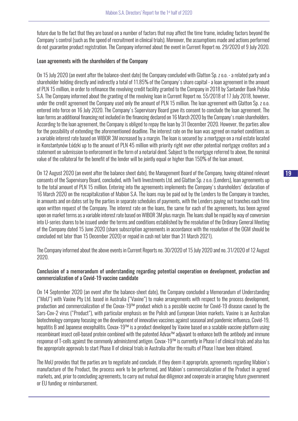future due to the fact that they are based on a number of factors that may affect the time frame, including factors beyond the Company's control (such as the speed of recruitment in clinical trials). Moreover, the assumptions made and actions performed do not guarantee product registration. The Company informed about the event in Current Report no. 29/2020 of 9 July 2020.

#### Loan agreements with the shareholders of the Company

On 15 July 2020 (an event after the balance-sheet date) the Company concluded with Glatton Sp. z o.o. - a related party and a shareholder holding directly and indirectly a total of 11.85% of the Company's share capital - a loan agreement in the amount of PLN 15 million, in order to refinance the revolving credit facility granted to the Company in 2018 by Santander Bank Polska S.A. The Company informed about the granting of the revolving loan in Current Report no. 55/2018 of 17 July 2018, however, under the credit agreement the Company used only the amount of PLN 15 million. The loan agreement with Glatton Sp. z o.o. entered into force on 16 July 2020. The Company's Supervisory Board gave its consent to conclude the loan agreement. The loan forms an additional financing not included in the financing declared on 16 March 2020 by the Company's main shareholders. According to the loan agreement, the Company is obliged to repay the loan by 31 December 2020. However, the parties allow for the possibility of extending the aforementioned deadline. The interest rate on the loan was agreed on market conditions as a variable interest rate based on WIBOR 3M increased by a margin. The loan is secured by: a mortgage on a real estate located in Konstantynów Łódzki up to the amount of PLN 45 million with priority right over other potential mortgage creditors and a statement on submission to enforcement in the form of a notarial deed. Subject to the mortgage referred to above, the nominal value of the collateral for the benefit of the lender will be jointly equal or higher than 150% of the loan amount.

On 12 August 2020 (an event after the balance sheet date), the Management Board of the Company, having obtained relevant consents of the Supervisory Board, concluded, with Twiti Investments Ltd. and Glatton Sp. z o.o. (Lenders), loan agreements up to the total amount of PLN 15 million. Entering into the agreements implements the Company's shareholders' declaration of 16 March 2020 on the recapitalization of Mabion S.A. The loans may be paid out by the Lenders to the Company in tranches, in amounts and on dates set by the parties in separate schedules of payments, with the Lenders paying out tranches each time upon written request of the Company. The interest rate on the loans, the same for each of the agreements, has been agreed upon on market terms as a variable interest rate based on WIBOR 3M plus margin. The loans shall be repaid by way of conversion into U-series shares to be issued under the terms and conditions established by the resolution of the Ordinary General Meeting of the Company dated 15 June 2020 (share subscription agreements in accordance with the resolution of the OGM should be concluded not later than 15 December 2020) or repaid in cash not later than 31 March 2021).

The Company informed about the above events in Current Reports no. 30/2020 of 15 July 2020 and no. 31/2020 of 12 August 2020.

# Conclusion of a memorandum of understanding regarding potential cooperation on development, production and commercialization of a Covid-19 vaccine candidate

On 14 September 2020 (an event after the balance-sheet date), the Company concluded a Memorandum of Understanding ("MoU") with Vaxine Pty Ltd. based in Australia ("Vaxine") to make arrangements with respect to the process development, production and commercialization of the Covax-19™ product which is a possible vaccine for Covid-19 disease caused by the Sars-Cov-2 virus ("Product"), with particular emphasis on the Polish and European Union markets. Vaxine is an Australian biotechnology company focusing on the development of innovative vaccines against seasonal and pandemic influenza, Covid-19, hepatitis B and Japanese encephalitis. Covax-19™ is a product developed by Vaxine based on a scalable vaccine platform using recombinant insect cell-based protein combined with the patented Advax™ adjuvant to enhance both the antibody and immune response of T-cells against the commonly administered antigen. Covax-19™ is currently in Phase I of clinical trials and also has the appropriate approvals to start Phase II of clinical trials in Australia after the results of Phase I have been obtained.

The MoU provides that the parties are to negotiate and conclude, if they deem it appropriate, agreements regarding Mabion's manufacture of the Product, the process work to be performed, and Mabion's commercialization of the Product in agreed markets, and, prior to concluding agreements, to carry out mutual due diligence and cooperate in arranging future government or EU funding or reimbursement.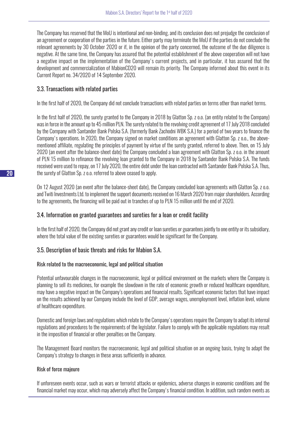The Company has reserved that the MoU is intentional and non-binding, and its conclusion does not prejudge the conclusion of an agreement or cooperation of the parties in the future. Either party may terminate the MoU if the parties do not conclude the relevant agreements by 30 October 2020 or if, in the opinion of the party concerned, the outcome of the due diligence is negative. At the same time, the Company has assured that the potential establishment of the above cooperation will not have a negative impact on the implementation of the Company's current projects, and in particular, it has assured that the development and commercialization of MabionCD20 will remain its priority. The Company informed about this event in its Current Report no. 34/2020 of 14 September 2020.

# 3.3. Transactions with related parties

In the first half of 2020, the Company did not conclude transactions with related parties on terms other than market terms.

In the first half of 2020, the surety granted to the Company in 2018 by Glatton Sp. z o.o. (an entity related to the Company) was in force in the amount up to 45 million PLN. The surety related to the revolving credit agreement of 17 July 2018 concluded by the Company with Santander Bank Polska S.A. (formerly Bank Zachodni WBK S.A.) for a period of two years to finance the Company's operations. In 2020, the Company signed on market conditions an agreement with Glatton Sp. z o.o., the abovementioned affiliate, regulating the principles of payment by virtue of the surety granted, referred to above. Then, on 15 July 2020 (an event after the balance-sheet date) the Company concluded a loan agreement with Glatton Sp. z o.o. in the amount of PLN 15 million to refinance the revolving loan granted to the Company in 2018 by Santander Bank Polska S.A. The funds received were used to repay, on 17 July 2020, the entire debt under the loan contracted with Santander Bank Polska S.A. Thus, the surety of Glatton Sp. z o.o. referred to above ceased to apply.

On 12 August 2020 (an event after the balance-sheet date), the Company concluded loan agreements with Glatton Sp. z o.o. and Twiti Investments Ltd. to implement the support documents received on 16 March 2020 from major shareholders. According to the agreements, the financing will be paid out in tranches of up to PLN 15 million until the end of 2020.

# 3.4. Information on granted guarantees and sureties for a loan or credit facility

In the first half of 2020, the Company did not grant any credit or loan sureties or guarantees jointly to one entity or its subsidiary, where the total value of the existing sureties or guarantees would be significant for the Company.

# 3.5. Description of basic threats and risks for Mabion S.A.

# Risk related to the macroeconomic, legal and political situation

Potential unfavourable changes in the macroeconomic, legal or political environment on the markets where the Company is planning to sell its medicines, for example the slowdown in the rate of economic growth or reduced healthcare expenditure, may have a negative impact on the Company's operations and financial results. Significant economic factors that have impact on the results achieved by our Company include the level of GDP, average wages, unemployment level, inflation level, volume of healthcare expenditure.

Domestic and foreign laws and regulations which relate to the Company's operations require the Company to adapt its internal regulations and procedures to the requirements of the legislator. Failure to comply with the applicable regulations may result in the imposition of financial or other penalties on the Company.

The Management Board monitors the macroeconomic, legal and political situation on an ongoing basis, trying to adapt the Company's strategy to changes in these areas sufficiently in advance.

## Risk of force majeure

If unforeseen events occur, such as wars or terrorist attacks or epidemics, adverse changes in economic conditions and the financial market may occur, which may adversely affect the Company's financial condition. In addition, such random events as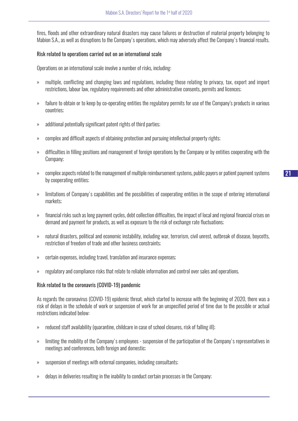fires, floods and other extraordinary natural disasters may cause failures or destruction of material property belonging to Mabion S.A., as well as disruptions to the Company's operations, which may adversely affect the Company's financial results.

## Risk related to operations carried out on an international scale

Operations on an international scale involve a number of risks, including:

- » multiple, conflicting and changing laws and regulations, including those relating to privacy, tax, export and import restrictions, labour law, regulatory requirements and other administrative consents, permits and licences;
- » failure to obtain or to keep by co-operating entities the regulatory permits for use of the Company's products in various countries;
- » additional potentially significant patent rights of third parties;
- » complex and difficult aspects of obtaining protection and pursuing intellectual property rights;
- » difficulties in filling positions and management of foreign operations by the Company or by entities cooperating with the Company;
- » complex aspects related to the management of multiple reimbursement systems, public payers or patient payment systems by cooperating entities;
- » limitations of Company's capabilities and the possibilities of cooperating entities in the scope of entering international markets;
- » financial risks such as long payment cycles, debt collection difficulties, the impact of local and regional financial crises on demand and payment for products, as well as exposure to the risk of exchange rate fluctuations;
- » natural disasters, political and economic instability, including war, terrorism, civil unrest, outbreak of disease, boycotts, restriction of freedom of trade and other business constraints;
- » certain expenses, including travel, translation and insurance expenses;
- » regulatory and compliance risks that relate to reliable information and control over sales and operations.

## Risk related to the coronavris (COVID-19) pandemic

As regards the coronavirus (COVID-19) epidemic threat, which started to increase with the beginning of 2020, there was a risk of delays in the schedule of work or suspension of work for an unspecified period of time due to the possible or actual restrictions indicated below:

- » reduced staff availability (quarantine, childcare in case of school closures, risk of falling ill);
- » limiting the mobility of the Company's employees suspension of the participation of the Company's representatives in meetings and conferences, both foreign and domestic;
- » suspension of meetings with external companies, including consultants;
- » delays in deliveries resulting in the inability to conduct certain processes in the Company;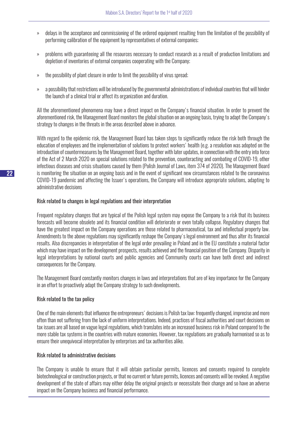- » delays in the acceptance and commissioning of the ordered equipment resulting from the limitation of the possibility of performing calibration of the equipment by representatives of external companies;
- » problems with guaranteeing all the resources necessary to conduct research as a result of production limitations and depletion of inventories of external companies cooperating with the Company;
- » the possibility of plant closure in order to limit the possibility of virus spread;
- » a possibility that restrictions will be introduced by the governmental administrations of individual countries that will hinder the launch of a clinical trial or affect its organization and duration.

All the aforementioned phenomena may have a direct impact on the Company's financial situation. In order to prevent the aforementioned risk, the Management Board monitors the global situation on an ongoing basis, trying to adapt the Company's strategy to changes in the threats in the areas described above in advance.

With regard to the epidemic risk, the Management Board has taken steps to significantly reduce the risk both through the education of employees and the implementation of solutions to protect workers' health (e.g. a resolution was adopted on the introduction of countermeasures by the Management Board, together with later updates, in connection with the entry into force of the Act of 2 March 2020 on special solutions related to the prevention, counteracting and combating of COVID-19, other infectious diseases and crisis situations caused by them (Polish Journal of Laws, item 374 of 2020). The Management Board is monitoring the situation on an ongoing basis and in the event of significant new circumstances related to the coronavirus COVID-19 pandemic and affecting the Issuer's operations, the Company will introduce appropriate solutions, adapting to administrative decisions

# Risk related to changes in legal regulations and their interpretation

Frequent regulatory changes that are typical of the Polish legal system may expose the Company to a risk that its business forecasts will become obsolete and its financial condition will deteriorate or even totally collapse. Regulatory changes that have the greatest impact on the Company operations are those related to pharmaceutical, tax and intellectual property law. Amendments to the above regulations may significantly reshape the Company's legal environment and thus alter its financial results. Also discrepancies in interpretation of the legal order prevailing in Poland and in the EU constitute a material factor which may have impact on the development prospects, results achieved and the financial position of the Company. Disparity in legal interpretations by national courts and public agencies and Community courts can have both direct and indirect consequences for the Company.

The Management Board constantly monitors changes in laws and interpretations that are of key importance for the Company in an effort to proactively adapt the Company strategy to such developments.

## Risk related to the tax policy

One of the main elements that influence the entrepreneurs' decisions is Polish tax law: frequently changed, imprecise and more often than not suffering from the lack of uniform interpretations. Indeed, practices of fiscal authorities and court decisions on tax issues are all based on vague legal regulations, which translates into an increased business risk in Poland compared to the more stable tax systems in the countries with mature economies. However, tax regulations are gradually harmonised so as to ensure their unequivocal interpretation by enterprises and tax authorities alike.

## Risk related to administrative decisions

The Company is unable to ensure that it will obtain particular permits, licences and consents required to complete biotechnological or construction projects, or that no current or future permits, licences and consents will be revoked. A negative development of the state of affairs may either delay the original projects or necessitate their change and so have an adverse impact on the Company business and financial performance.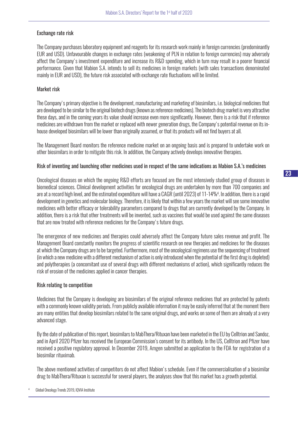# Exchange rate risk

The Company purchases laboratory equipment and reagents for its research work mainly in foreign currencies (predominantly EUR and USD). Unfavourable changes in exchange rates (weakening of PLN in relation to foreign currencies) may adversely affect the Company's investment expenditure and increase its R&D spending, which in turn may result in a poorer financial performance. Given that Mabion S.A. intends to sell its medicines in foreign markets (with sales transactions denominated mainly in EUR and USD), the future risk associated with exchange rate fluctuations will be limited.

# Market risk

The Company's primary objective is the development, manufacturing and marketing of biosimilars, i.e. biological medicines that are developed to be similar to the original biotech drugs (known as reference medicines). The biotech drug market is very attractive these days, and in the coming years its value should increase even more significantly. However, there is a risk that if reference medicines are withdrawn from the market or replaced with newer generation drugs, the Company's potential revenue on its inhouse developed biosimilars will be lower than originally assumed, or that its products will not find buyers at all.

The Management Board monitors the reference medicine market on an ongoing basis and is prepared to undertake work on other biosimilars in order to mitigate this risk. In addition, the Company actively develops innovative therapies.

# Risk of inventing and launching other medicines used in respect of the same indications as Mabion S.A.'s medicines

Oncological diseases on which the ongoing R&D efforts are focused are the most intensively studied group of diseases in biomedical sciences. Clinical development activities for oncological drugs are undertaken by more than 700 companies and are at a record high level, and the estimated expenditure will have a CAGR (until 2023) of 11-14%<sup>4</sup>. In addition, there is a rapid development in genetics and molecular biology. Therefore, it is likely that within a few years the market will see some innovative medicines with better efficacy or tolerability parameters compared to drugs that are currently developed by the Company. In addition, there is a risk that other treatments will be invented, such as vaccines that would be used against the same diseases that are now treated with reference medicines for the Company's future drugs.

The emergence of new medicines and therapies could adversely affect the Company future sales revenue and profit. The Management Board constantly monitors the progress of scientific research on new therapies and medicines for the diseases at which the Company drugs are to be targeted. Furthermore, most of the oncological regimens use the sequencing of treatment (in which a new medicine with a different mechanism of action is only introduced when the potential of the first drug is depleted) and polytherapies (a concomitant use of several drugs with different mechanisms of action), which significantly reduces the risk of erosion of the medicines applied in cancer therapies.

# Risk relating to competition

Medicines that the Company is developing are biosimilars of the original reference medicines that are protected by patents with a commonly known validity periods. From publicly available information it may be easily inferred that at the moment there are many entities that develop biosimilars related to the same original drugs, and works on some of them are already at a very advanced stage.

By the date of publication of this report, biosimilars to MabThera/Rituxan have been marketed in the EU by Celltrion and Sandoz, and in April 2020 Pfizer has received the European Commission's consent for its antibody. In the US, Celltrion and Pfizer have received a positive regulatory approval. In December 2019, Amgen submitted an application to the FDA for registration of a biosimilar rituximab.

The above mentioned activities of competitors do not affect Mabion's schedule. Even if the commercialisation of a biosimilar drug to MabThera/Rituxan is successful for several players, the analyses show that this market has a growth potential.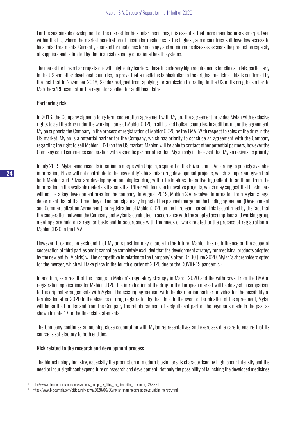For the sustainable development of the market for biosimilar medicines, it is essential that more manufacturers emerge. Even within the EU, where the market penetration of biosimilar medicines is the highest, some countries still have low access to biosimilar treatments. Currently, demand for medicines for oncology and autoimmune diseases exceeds the production capacity of suppliers and is limited by the financial capacity of national health systems.

The market for biosimilar drugs is one with high entry barriers. These include very high requirements for clinical trials, particularly in the US and other developed countries, to prove that a medicine is biosimilar to the original medicine. This is confirmed by the fact that in November 2018, Sandoz resigned from applying for admission to trading in the US of its drug biosimilar to MabThera/Rituxan , after the regulator applied for additional data<sup>5</sup>.

# Partnering risk

In 2016, the Company signed a long-term cooperation agreement with Mylan. The agreement provides Mylan with exclusive rights to sell the drug under the working name of MabionCD20 in all EU and Balkan countries. In addition, under the agreement, Mylan supports the Company in the process of registration of MabionCD20 by the EMA. With respect to sales of the drug in the US market, Mylan is a potential partner for the Company, which has priority to conclude an agreement with the Company regarding the right to sell MabionCD20 on the US market. Mabion will be able to contact other potential partners, however the Company could commence cooperation with a specific partner other than Mylan only in the event that Mylan resigns its priority.

In July 2019, Mylan announced its intention to merge with Upjohn, a spin-off of the Pfizer Group. According to publicly available information, Pfizer will not contribute to the new entity's biosimilar drug development projects, which is important given that both Mabion and Pfizer are developing an oncological drug with rituximab as the active ingredient. In addition, from the information in the available materials it stems that Pfizer will focus on innovative projects, which may suggest that biosimilars will not be a key development area for the company. In August 2019, Mabion S.A. received information from Mylan's legal department that at that time, they did not anticipate any impact of the planned merger on the binding agreement (Development and Commercialization Agreement) for registration of MabionCD20 on the European market. This is confirmed by the fact that the cooperation between the Company and Mylan is conducted in accordance with the adopted assumptions and working group meetings are held on a regular basis and in accordance with the needs of work related to the process of registration of MabionCD20 in the EMA.

However, it cannot be excluded that Mylan's position may change in the future. Mabion has no influence on the scope of cooperation of third parties and it cannot be completely excluded that the development strategy for medicinal products adopted by the new entity (Viatris) will be competitive in relation to the Company's offer. On 30 June 2020, Mylan's shareholders opted for the merger, which will take place in the fourth quarter of 2020 due to the COVID-19 pandemic.<sup>6</sup>

In addition, as a result of the change in Mabion's regulatory strategy in March 2020 and the withdrawal from the EMA of registration applications for MabionCD20, the introduction of the drug to the European market will be delayed in comparison to the original arrangements with Mylan. The existing agreement with the distribution partner provides for the possibility of termination after 2020 in the absence of drug registration by that time. In the event of termination of the agreement, Mylan will be entitled to demand from the Company the reimbursement of a significant part of the payments made in the past as shown in note 17 to the financial statements.

The Company continues an ongoing close cooperation with Mylan representatives and exercises due care to ensure that its course is satisfactory to both entities.

## Risk related to the research and development process

The biotechnology industry, especially the production of modern biosimilars, is characterised by high labour intensity and the need to incur significant expenditure on research and development. Not only the possibility of launching the developed medicines

<sup>5</sup> http://www.pharmatimes.com/news/sandoz\_dumps\_us\_filing\_for\_biosimilar\_rituximab\_1258681

<sup>6</sup> https://www.bizjournals.com/pittsburgh/news/2020/06/30/mylan-shareholders-approve-upjohn-merger.html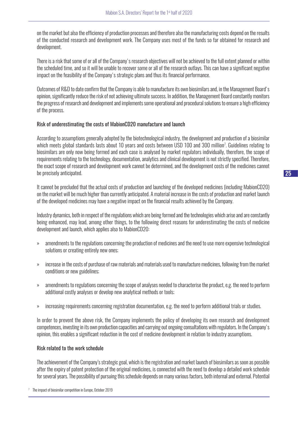on the market but also the efficiency of production processes and therefore also the manufacturing costs depend on the results of the conducted research and development work. The Company uses most of the funds so far obtained for research and development.

There is a risk that some of or all of the Company's research objectives will not be achieved to the full extent planned or within the scheduled time, and so it will be unable to recover some or all of the research outlays. This can have a significant negative impact on the feasibility of the Company's strategic plans and thus its financial performance.

Outcomes of R&D to date confirm that the Company is able to manufacture its own biosimilars and, in the Management Board's opinion, significantly reduce the risk of not achieving ultimate success. In addition, the Management Board constantly monitors the progress of research and development and implements some operational and procedural solutions to ensure a high efficiency of the process.

## Risk of underestimating the costs of MabionCD20 manufacture and launch

According to assumptions generally adopted by the biotechnological industry, the development and production of a biosimilar which meets global standards lasts about 10 years and costs between USD 100 and 300 million7 . Guidelines relating to biosimilars are only now being formed and each case is analysed by market regulators individually, therefore, the scope of requirements relating to the technology, documentation, analytics and clinical development is not strictly specified. Therefore, the exact scope of research and development work cannot be determined, and the development costs of the medicines cannot be precisely anticipated.

It cannot be precluded that the actual costs of production and launching of the developed medicines (including MabionCD20) on the market will be much higher than currently anticipated. A material increase in the costs of production and market launch of the developed medicines may have a negative impact on the financial results achieved by the Company.

Industry dynamics, both in respect of the regulations which are being formed and the technologies which arise and are constantly being enhanced, may lead, among other things, to the following direct reasons for underestimating the costs of medicine development and launch, which applies also to MabionCD20:

- » amendments to the regulations concerning the production of medicines and the need to use more expensive technological solutions or creating entirely new ones;
- » increase in the costs of purchase of raw materials and materials used to manufacture medicines, following from the market conditions or new guidelines;
- » amendments to regulations concerning the scope of analyses needed to characterise the product, e.g. the need to perform additional costly analyses or develop new analytical methods or tools;
- » increasing requirements concerning registration documentation, e.g. the need to perform additional trials or studies.

In order to prevent the above risk, the Company implements the policy of developing its own research and development competences, investing in its own production capacities and carrying out ongoing consultations with regulators. In the Company's opinion, this enables a significant reduction in the cost of medicine development in relation to industry assumptions.

## Risk related to the work schedule

The achievement of the Company's strategic goal, which is the registration and market launch of biosimilars as soon as possible after the expiry of patent protection of the original medicines, is connected with the need to develop a detailed work schedule for several years. The possibility of pursuing this schedule depends on many various factors, both internal and external. Potential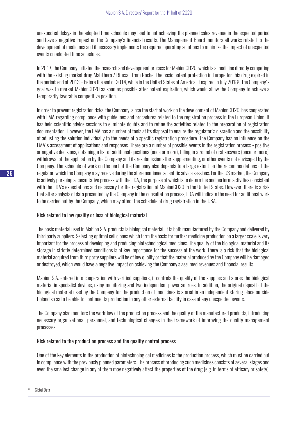unexpected delays in the adopted time schedule may lead to not achieving the planned sales revenue in the expected period and have a negative impact on the Company's financial results. The Management Board monitors all works related to the development of medicines and if necessary implements the required operating solutions to minimize the impact of unexpected events on adopted time schedules.

In 2017, the Company initiated the research and development process for MabionCD20, which is a medicine directly competing with the existing market drug MabThera / Rituxan from Roche. The basic patent protection in Europe for this drug expired in the period: end of 2013 – before the end of 2014, while in the United States of America, it expired in July 2018<sup>8</sup>. The Company's goal was to market MabionCD20 as soon as possible after patent expiration, which would allow the Company to achieve a temporarily favorable competitive position.

In order to prevent registration risks, the Company, since the start of work on the development of MabionCD20, has cooperated with EMA regarding compliance with guidelines and procedures related to the registration process in the European Union. It has held scientific advice sessions to eliminate doubts and to refine the activities related to the preparation of registration documentation. However, the EMA has a number of tools at its disposal to ensure the regulator's discretion and the possibility of adjusting the solution individually to the needs of a specific registration procedure. The Company has no influence on the EMA's assessment of applications and responses. There are a number of possible events in the registration process - positive or negative decisions, obtaining a list of additional questions (once or more), filling in a round of oral answers (once or more), withdrawal of the application by the Company and its resubmission after supplementing, or other events not envisaged by the Company. The schedule of work on the part of the Company also depends to a large extent on the recommendations of the regulator, which the Company may receive during the aforementioned scientific advice sessions. For the US market, the Company is actively pursuing a consultative process with the FDA, the purpose of which is to determine and perform activities consistent with the FDA's expectations and necessary for the registration of MabionCD20 in the United States. However, there is a risk that after analysis of data presented by the Company in the consultation process, FDA will indicate the need for additional work to be carried out by the Company, which may affect the schedule of drug registration in the USA.

## Risk related to low quality or loss of biological material

The basic material used in Mabion S.A. products is biological material. It is both manufactured by the Company and delivered by third party suppliers. Selecting optimal cell clones which form the basis for further medicine production on a larger scale is very important for the process of developing and producing biotechnological medicines. The quality of the biological material and its storage in strictly determined conditions is of key importance for the success of the work. There is a risk that the biological material acquired from third party suppliers will be of low quality or that the material produced by the Company will be damaged or destroyed, which would have a negative impact on achieving the Company's assumed revenues and financial results.

Mabion S.A. entered into cooperation with verified suppliers, it controls the quality of the supplies and stores the biological material in specialist devices, using monitoring and two independent power sources. In addition, the original deposit of the biological material used by the Company for the production of medicines is stored in an independent storing place outside Poland so as to be able to continue its production in any other external facility in case of any unexpected events.

The Company also monitors the workflow of the production process and the quality of the manufactured products, introducing necessary organizational, personnel, and technological changes in the framework of improving the quality management processes.

# Risk related to the production process and the quality control process

One of the key elements in the production of biotechnological medicines is the production process, which must be carried out in compliance with the previously planned parameters. The process of producing such medicines consists of several stages and even the smallest change in any of them may negatively affect the properties of the drug (e.g. in terms of efficacy or safety).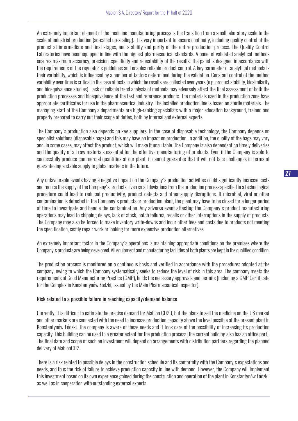An extremely important element of the medicine manufacturing process is the transition from a small laboratory scale to the scale of industrial production (so-called up-scaling). It is very important to ensure continuity, including quality control of the product at intermediate and final stages, and stability and purity of the entire production process. The Quality Control Laboratories have been equipped in line with the highest pharmaceutical standards. A panel of validated analytical methods ensures maximum accuracy, precision, specificity and repeatability of the results. The panel is designed in accordance with the requirements of the regulator's guidelines and enables reliable product control. A key parameter of analytical methods is their variability, which is influenced by a number of factors determined during the validation. Constant control of the method variability over time is critical in the case of tests in which the results are collected over years (e.g. product stability, biosimilarity and bioequivalence studies). Lack of reliable trend analysis of methods may adversely affect the final assessment of both the production processes and bioequivalence of the test and reference products. The materials used in the production zone have appropriate certificates for use in the pharmaceutical industry. The installed production line is based on sterile materials. The managing staff of the Company's departments are high-ranking specialists with a major education background, trained and properly prepared to carry out their scope of duties, both by internal and external experts.

The Company's production also depends on key suppliers. In the case of disposable technology, the Company depends on specialist solutions (disposable bags) and this may have an impact on production. In addition, the quality of the bags may vary and, in some cases, may affect the product, which will make it unsuitable. The Company is also dependent on timely deliveries and the quality of all raw materials essential for the effective manufacturing of products. Even if the Company is able to successfully produce commercial quantities at our plant, it cannot guarantee that it will not face challenges in terms of guaranteeing a stable supply to global markets in the future.

Any unfavourable events having a negative impact on the Company's production activities could significantly increase costs and reduce the supply of the Company's products. Even small deviations from the production process specified in a technological procedure could lead to reduced productivity, product defects and other supply disruptions. If microbial, viral or other contamination is detected in the Company's products or production plant, the plant may have to be closed for a longer period of time to investigate and handle the contamination. Any adverse event affecting the Company's product manufacturing operations may lead to shipping delays, lack of stock, batch failures, recalls or other interruptions in the supply of products. The Company may also be forced to make inventory write-downs and incur other fees and costs due to products not meeting the specification, costly repair work or looking for more expensive production alternatives.

An extremely important factor in the Company's operations is maintaining appropriate conditions on the premises where the Company's products are being developed. All equipment and manufacturing facilities at both plants are kept in the qualified condition.

The production process is monitored on a continuous basis and verified in accordance with the procedures adopted at the company, owing to which the Company systematically seeks to reduce the level of risk in this area. The company meets the requirements of Good Manufacturing Practice (GMP), holds the necessary approvals and permits (including a GMP Certificate for the Complex in Konstantynów Łódzki, issued by the Main Pharmaceutical Inspector).

#### Risk related to a possible failure in reaching capacity/demand balance

Currently, it is difficult to estimate the precise demand for Mabion CD20, but the plans to sell the medicine on the US market and other markets are connected with the need to increase production capacity above the level possible at the present plant in Konstantynów Łódzki. The company is aware of these needs and it took care of the possibility of increasing its production capacity. This building can be used to a greater extent for the production process (the current building also has an office part). The final date and scope of such an investment will depend on arrangements with distribution partners regarding the planned delivery of MabionCD2.

There is a risk related to possible delays in the construction schedule and its conformity with the Company's expectations and needs, and thus the risk of failure to achieve production capacity in line with demand. However, the Company will implement this investment based on its own experience gained during the construction and operation of the plant in Konstantynów Łódzki, as well as in cooperation with outstanding external experts.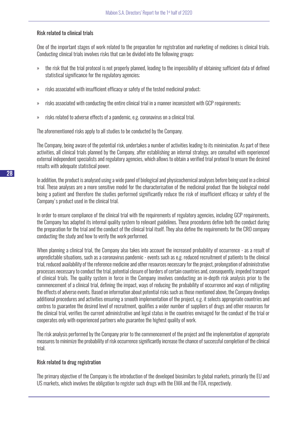## Risk related to clinical trials

One of the important stages of work related to the preparation for registration and marketing of medicines is clinical trials. Conducting clinical trials involves risks that can be divided into the following groups:

- » the risk that the trial protocol is not properly planned, leading to the impossibility of obtaining sufficient data of defined statistical significance for the regulatory agencies;
- » risks associated with insufficient efficacy or safety of the tested medicinal product;
- » risks associated with conducting the entire clinical trial in a manner inconsistent with GCP requirements;
- » risks related to adverse effects of a pandemic, e.g. coronavirus on a clinical trial.

The aforementioned risks apply to all studies to be conducted by the Company.

The Company, being aware of the potential risk, undertakes a number of activities leading to its minimisation. As part of these activities, all clinical trials planned by the Company, after establishing an internal strategy, are consulted with experienced external independent specialists and regulatory agencies, which allows to obtain a verified trial protocol to ensure the desired results with adequate statistical power.

In addition, the product is analysed using a wide panel of biological and physicochemical analyses before being used in a clinical trial. These analyses are a more sensitive model for the characterisation of the medicinal product than the biological model being a patient and therefore the studies performed significantly reduce the risk of insufficient efficacy or safety of the Company's product used in the clinical trial.

In order to ensure compliance of the clinical trial with the requirements of regulatory agencies, including GCP requirements, the Company has adapted its internal quality system to relevant guidelines. These procedures define both the conduct during the preparation for the trial and the conduct of the clinical trial itself. They also define the requirements for the CRO company conducting the study and how to verify the work performed.

When planning a clinical trial, the Company also takes into account the increased probability of occurrence - as a result of unpredictable situations, such as a coronavirus pandemic - events such as e.g. reduced recruitment of patients to the clinical trial, reduced availability of the reference medicine and other resources necessary for the project, prolongation of administrative processes necessary to conduct the trial, potential closure of borders of certain countries and, consequently, impeded transport of clinical trials. The quality system in force in the Company involves conducting an in-depth risk analysis prior to the commencement of a clinical trial, defining the impact, ways of reducing the probability of occurrence and ways of mitigating the effects of adverse events. Based on information about potential risks such as those mentioned above, the Company develops additional procedures and activities ensuring a smooth implementation of the project, e.g. it selects appropriate countries and centres to guarantee the desired level of recruitment, qualifies a wider number of suppliers of drugs and other resources for the clinical trial, verifies the current administrative and legal status in the countries envisaged for the conduct of the trial or cooperates only with experienced partners who guarantee the highest quality of work.

The risk analysis performed by the Company prior to the commencement of the project and the implementation of appropriate measures to minimize the probability of risk occurrence significantly increase the chance of successful completion of the clinical trial.

# Risk related to drug registration

The primary objective of the Company is the introduction of the developed biosimilars to global markets, primarily the EU and US markets, which involves the obligation to register such drugs with the EMA and the FDA, respectively.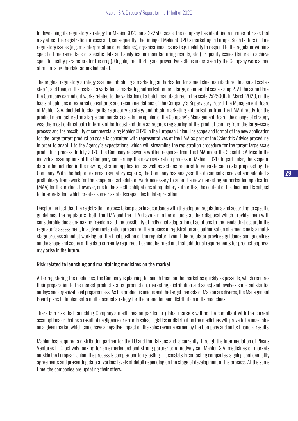In developing its regulatory strategy for MabionCD20 on a 2x250L scale, the company has identified a number of risks that may affect the registration process and, consequently, the timing of MabionCD20's marketing in Europe. Such factors include regulatory issues (e.g. misinterpretation of guidelines), organisational issues (e.g. inability to respond to the regulator within a specific timeframe, lack of specific data and analytical or manufacturing results, etc.) or quality issues (failure to achieve specific quality parameters for the drug). Ongoing monitoring and preventive actions undertaken by the Company were aimed at minimising the risk factors indicated.

The original regulatory strategy assumed obtaining a marketing authorisation for a medicine manufactured in a small scale step 1, and then, on the basis of a variation, a marketing authorisation for a large, commercial scale - step 2. At the same time, the Company carried out works related to the validation of a batch manufactured in the scale 2x2500L. In March 2020, on the basis of opinions of external consultants and recommendations of the Company's Supervisory Board, the Management Board of Mabion S.A. decided to change its regulatory strategy and obtain marketing authorisation from the EMA directly for the product manufactured on a large commercial scale. In the opinion of the Company's Management Board, the change of strategy was the most optimal path in terms of both cost and time as regards registering of the product coming from the large-scale process and the possibility of commercialising MabionCD20 in the European Union. The scope and format of the new application for the large target production scale is consulted with representatives of the EMA as part of the Scientific Advice procedure, in order to adapt it to the Agency's expectations, which will streamline the registration procedure for the target large scale production process. In July 2020, the Company received a written response from the EMA under the Scientific Advice to the individual assumptions of the Company concerning the new registration process of MabionCD20. In particular, the scope of data to be included in the new registration application, as well as actions required to generate such data proposed by the Company. With the help of external regulatory experts, the Company has analysed the documents received and adopted a preliminary framework for the scope and schedule of work necessary to submit a new marketing authorisation application (MAA) for the product. However, due to the specific obligations of regulatory authorities, the content of the document is subject to interpretation, which creates some risk of discrepancies in interpretation.

Despite the fact that the registration process takes place in accordance with the adopted regulations and according to specific guidelines, the regulators (both the EMA and the FDA) have a number of tools at their disposal which provide them with considerable decision-making freedom and the possibility of individual adaptation of solutions to the needs that occur, in the regulator's assessment, in a given registration procedure. The process of registration and authorisation of a medicine is a multistage process aimed at working out the final position of the regulator. Even if the regulator provides guidance and guidelines on the shape and scope of the data currently required, it cannot be ruled out that additional requirements for product approval may arise in the future.

## Risk related to launching and maintaining medicines on the market

After registering the medicines, the Company is planning to launch them on the market as quickly as possible, which requires their preparation to the market product status (production, marketing, distribution and sales) and involves some substantial outlays and organizational preparedness. As the product is unique and the target markets of Mabion are diverse, the Management Board plans to implement a multi-faceted strategy for the promotion and distribution of its medicines.

There is a risk that launching Company's medicines on particular global markets will not be compliant with the current assumptions or that as a result of negligence or error in sales, logistics or distribution the medicines will prove to be unsellable on a given market which could have a negative impact on the sales revenue earned by the Company and on its financial results.

Mabion has acquired a distribution partner for the EU and the Balkans and is currently, through the intermediation of Plexus Ventures LLC, actively looking for an experienced and strong partner to effectively sell Mabion S.A. medicines on markets outside the European Union. The process is complex and long-lasting – it consists in contacting companies, signing confidentiality agreements and presenting data at various levels of detail depending on the stage of development of the process. At the same time, the companies are updating their offers.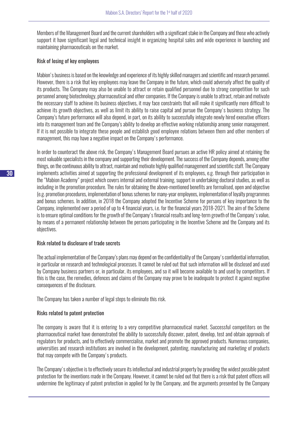Members of the Management Board and the current shareholders with a significant stake in the Company and those who actively support it have significant legal and technical insight in organizing hospital sales and wide experience in launching and maintaining pharmaceuticals on the market.

#### Risk of losing of key employees

Mabion's business is based on the knowledge and experience of its highly skilled managers and scientific and research personnel. However, there is a risk that key employees may leave the Company in the future, which could adversely affect the quality of its products. The Company may also be unable to attract or retain qualified personnel due to strong competition for such personnel among biotechnology, pharmaceutical and other companies. If the Company is unable to attract, retain and motivate the necessary staff to achieve its business objectives, it may face constraints that will make it significantly more difficult to achieve its growth objectives, as well as limit its ability to raise capital and pursue the Company's business strategy. The Company's future performance will also depend, in part, on its ability to successfully integrate newly hired executive officers into its management team and the Company's ability to develop an effective working relationship among senior management. If it is not possible to integrate these people and establish good employee relations between them and other members of management, this may have a negative impact on the Company's performance.

In order to counteract the above risk, the Company's Management Board pursues an active HR policy aimed at retaining the most valuable specialists in the company and supporting their development. The success of the Company depends, among other things, on the continuous ability to attract, maintain and motivate highly qualified management and scientific staff. The Company implements activities aimed at supporting the professional development of its employees, e.g. through their participation in the "Mabion Academy" project which covers internal and external training, support in undertaking doctoral studies, as well as including in the promotion procedure. The rules for obtaining the above-mentioned benefits are formalised, open and objective (e.g. promotion procedures, implementation of bonus schemes for many-year employees, implementation of loyalty programmes and bonus schemes. In addition, in 2018 the Company adopted the Incentive Scheme for persons of key importance to the Company, implemented over a period of up to 4 financial years, i.e. for the financial years 2018-2021. The aim of the Scheme is to ensure optimal conditions for the growth of the Company's financial results and long-term growth of the Company's value, by means of a permanent relationship between the persons participating in the Incentive Scheme and the Company and its objectives.

## Risk related to disclosure of trade secrets

The actual implementation of the Company's plans may depend on the confidentiality of the Company's confidential information, in particular on research and technological processes. It cannot be ruled out that such information will be disclosed and used by Company business partners or, in particular, its employees, and so it will become available to and used by competitors. If this is the case, the remedies, defences and claims of the Company may prove to be inadequate to protect it against negative consequences of the disclosure.

The Company has taken a number of legal steps to eliminate this risk.

## Risks related to patent protection

The company is aware that it is entering to a very competitive pharmaceutical market. Successful competitors on the pharmaceutical market have demonstrated the ability to successfully discover, patent, develop, test and obtain approvals of regulators for products, and to effectively commercialise, market and promote the approved products. Numerous companies, universities and research institutions are involved in the development, patenting, manufacturing and marketing of products that may compete with the Company's products.

The Company's objective is to effectively secure its intellectual and industrial property by providing the widest possible patent protection for the inventions made in the Company. However, it cannot be ruled out that there is a risk that patent offices will undermine the legitimacy of patent protection in applied for by the Company, and the arguments presented by the Company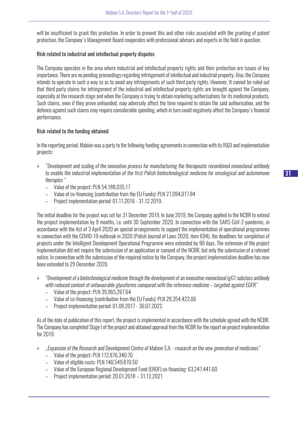will be insufficient to grant this protection. In order to prevent this and other risks associated with the granting of patent protection, the Company's Management Board cooperates with professional advisors and experts in the field in question.

# Risk related to industrial and intellectual property disputes

The Company operates in the area where industrial and intellectual property rights and their protection are issues of key importance. There are no pending proceedings regarding infringement of intellectual and industrial property. Also, the Company intends to operate in such a way so as to avoid any infringements of such third party rights. However, It cannot be ruled out that third party claims for infringement of the industrial and intellectual property rights are brought against the Company, especially at the research stage and when the Company is trying to obtain marketing authorisations for its medicinal products. Such claims, even if they prove unfounded, may adversely affect the time required to obtain the said authorisation, and the defence against such claims may require considerable spending, which in turn could negatively affect the Company's financial performance.

# Risk related to the funding obtained

In the reporting period, Mabion was a party to the following funding agreements in connection with its R&D and implementation projects:

- » *"Development and scaling of the innovative process for manufacturing the therapeutic recombined monoclonal antibody to enable the industrial implementation of the first Polish biotechnological medicine for oncological and autoimmune therapies "*
	- Value of the project: PLN 54,188,035.17
	- Value of co-financing (contribution from the EU Funds): PLN 27,094,017.84
	- Project implementation period: 01.11.2016 31.12.2019.

The initial deadline for the project was set for 31 December 2019. In June 2019, the Company applied to the NCBR to extend the project implementation by 9 months, i.e. until 30 September 2020. In connection with the SARS-CoV-2 pandemic, in accordance with the Act of 3 April 2020 on special arrangements to support the implementation of operational programmes in connection with the COVID-19 outbreak in 2020 (Polish Journal of Laws 2020, item 694), the deadlines for completion of projects under the Intelligent Development Operational Programme were extended by 90 days. The extension of the project implementation did not require the submission of an application or consent of the NCBR, but only the submission of a relevant notice. In connection with the submission of the required notice by the Company, the project implementation deadline has now been extended to 29 December 2020.

- » *"Development of a biotechnological medicine through the development of an innovative monoclonal IgG1 subclass antibody with reduced content of unfavourable glycoforms compared with the reference medicine – targeted against EGFR"*
	- Value of the project: PLN 39,965,267.64
	- Value of co-financing (contribution from the EU Funds): PLN 28,354,422.06
	- Project implementation period: 01.08.2017 30.07.2022.

As of the date of publication of this report, the project is implemented in accordance with the schedule agreed with the NCBR. The Company has completed Stage I of the project and obtained approval from the NCBR for the report on project implementation for 2019.

- » *"Expansion of the Research and Development Centre of Mabion S.A. research on the new generation of medicines"*
	- Value of the project: PLN 172,876,340.70
	- Value of eligible costs: PLN 140,549,870.50
	- Value of the European Regional Development Fund (ERDF) co-financing: 63,247,441.60
	- Project implementation period: 20.01.2018 31.12.2021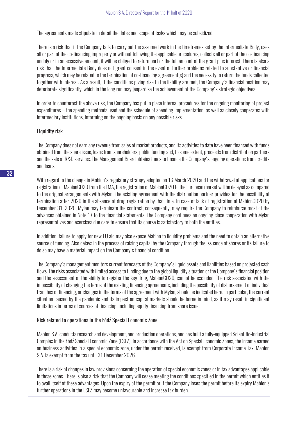The agreements made stipulate in detail the dates and scope of tasks which may be subsidized.

There is a risk that if the Company fails to carry out the assumed work in the timeframes set by the Intermediate Body, uses all or part of the co-financing improperly or without following the applicable procedures, collects all or part of the co-financing unduly or in an excessive amount, it will be obliged to return part or the full amount of the grant plus interest. There is also a risk that the Intermediate Body does not grant consent in the event of further problems related to substantive or financial progress, which may be related to the termination of co-financing agreement(s) and the necessity to return the funds collected together with interest. As a result, if the conditions giving rise to the liability are met, the Company's financial position may deteriorate significantly, which in the long run may jeopardise the achievement of the Company's strategic objectives.

In order to counteract the above risk, the Company has put in place internal procedures for the ongoing monitoring of project expenditures – the spending methods used and the schedule of spending implementation, as well as closely cooperates with intermediary institutions, informing on the ongoing basis on any possible risks.

## Liquidity risk

The Company does not earn any revenue from sales of market products, and its activities to date have been financed with funds obtained from the share issue, loans from shareholders, public funding and, to some extent, proceeds from distribution partners and the sale of R&D services. The Management Board obtains funds to finance the Company's ongoing operations from credits and loans.

With regard to the change in Mabion's regulatory strategy adopted on 16 March 2020 and the withdrawal of applications for registration of MabionCD20 from the EMA, the registration of MabionCD20 to the European market will be delayed as compared to the original arrangements with Mylan. The existing agreement with the distribution partner provides for the possibility of termination after 2020 in the absence of drug registration by that time. In case of lack of registration of MabionCD20 by December 31, 2020, Mylan may terminate the contract, consequently, may require the Company to reimburse most of the advances obtained in Note 17 to the financial statements. The Company continues an ongoing close cooperation with Mylan representatives and exercises due care to ensure that its course is satisfactory to both the entities.

In addition, failure to apply for new EU aid may also expose Mabion to liquidity problems and the need to obtain an alternative source of funding. Also delays in the process of raising capital by the Company through the issuance of shares or its failure to do so may have a material impact on the Company's financial condition.

The Company's management monitors current forecasts of the Company's liquid assets and liabilities based on projected cash flows. The risks associated with limited access to funding due to the global liquidity situation or the Company's financial position and the assessment of the ability to register the key drug, MabionCD20, cannot be excluded. The risk associated with the impossibility of changing the terms of the existing financing agreements, including the possibility of disbursement of individual tranches of financing, or changes in the terms of the agreement with Mylan, should be indicated here. In particular, the current situation caused by the pandemic and its impact on capital markets should be borne in mind, as it may result in significant limitations in terms of sources of financing, including equity financing from share issue.

#### Risk related to operations in the Łódź Special Economic Zone

Mabion S.A. conducts research and development, and production operations, and has built a fully-equipped Scientific-Industrial Complex in the Łódź Special Economic Zone (LSEZ). In accordance with the Act on Special Economic Zones, the income earned on business activities in a special economic zone, under the permit received, is exempt from Corporate Income Tax. Mabion S.A. is exempt from the tax until 31 December 2026.

There is a risk of changes in law provisions concerning the operation of special economic zones or in tax advantages applicable in those zones. There is also a risk that the Company will cease meeting the conditions specified in the permit which entitles it to avail itself of these advantages. Upon the expiry of the permit or if the Company loses the permit before its expiry Mabion's further operations in the LSEZ may become unfavourable and increase tax burden.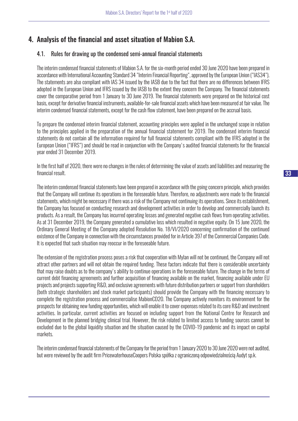# 4. Analysis of the financial and asset situation of Mabion S.A.

# 4.1. Rules for drawing up the condensed semi-annual financial statements

The interim condensed financial statements of Mabion S.A. for the six-month period ended 30 June 2020 have been prepared in accordance with International Accounting Standard 34 "Interim Financial Reporting", approved by the European Union ("IAS34"). The statements are also compliant with IAS 34 issued by the IASB due to the fact that there are no differences between IFRS adopted in the European Union and IFRS issued by the IASB to the extent they concern the Company. The financial statements cover the comparative period from 1 January to 30 June 2019. The financial statements were prepared on the historical cost basis, except for derivative financial instruments, available-for-sale financial assets which have been measured at fair value. The interim condensed financial statements, except for the cash flow statement, have been prepared on the accrual basis.

To prepare the condensed interim financial statement, accounting principles were applied in the unchanged scope in relation to the principles applied in the preparation of the annual financial statement for 2019. The condensed interim financial statements do not contain all the information required for full financial statements compliant with the IFRS adopted in the European Union ("IFRS") and should be read in conjunction with the Company's audited financial statements for the financial year ended 31 December 2019.

In the first half of 2020, there were no changes in the rules of determining the value of assets and liabilities and measuring the financial result.

The interim condensed financial statements have been prepared in accordance with the going concern principle, which provides that the Company will continue its operations in the foreseeable future. Therefore, no adjustments were made to the financial statements, which might be necessary if there was a risk of the Company not continuing its operations. Since its establishment, the Company has focused on conducting research and development activities in order to develop and commercially launch its products. As a result, the Company has incurred operating losses and generated negative cash flows from operating activities. As at 31 December 2019, the Company generated a cumulative loss which resulted in negative equity. On 15 June 2020, the Ordinary General Meeting of the Company adopted Resolution No. 18/VI/2020 concerning confirmation of the continued existence of the Company in connection with the circumstances provided for in Article 397 of the Commercial Companies Code. It is expected that such situation may reoccur in the foreseeable future.

The extension of the registration process poses a risk that cooperation with Mylan will not be continued, the Company will not attract other partners and will not obtain the required funding. These factors indicate that there is considerable uncertainty that may raise doubts as to the company's ability to continue operations in the foreseeable future. The change in the terms of current debt financing agreements and further acquisition of financing available on the market, financing available under EU projects and projects supporting R&D, and exclusive agreements with future distribution partners or support from shareholders (both strategic shareholders and stock market participants) should provide the Company with the financing necessary to complete the registration process and commercialise MabionCD20. The Company actively monitors its environment for the prospects for obtaining new funding opportunities, which will enable it to cover expenses related to its core R&D and investment activities. In particular, current activities are focused on including support from the National Centre for Research and Development in the planned bridging clinical trial. However, the risk related to limited access to funding sources cannot be excluded due to the global liquidity situation and the situation caused by the COVID-19 pandemic and its impact on capital markets.

The interim condensed financial statements of the Company for the period from 1 January 2020 to 30 June 2020 were not audited, but were reviewed by the audit firm PricewaterhouseCoopers Polska spółka z ograniczoną odpowiedzialnością Audyt sp.k.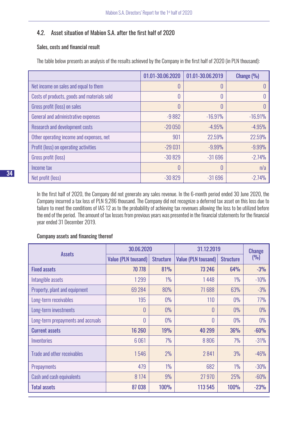# 4.2. Asset situation of Mabion S.A. after the first half of 2020

# Sales, costs and financial result

The table below presents an analysis of the results achieved by the Company in the first half of 2020 (in PLN thousand):

|                                             | 01.01-30.06.2020 | 01.01-30.06.2019 | Change (%) |
|---------------------------------------------|------------------|------------------|------------|
| Net income on sales and equal to them       | 0                | 0                |            |
| Costs of products, goods and materials sold | 0                | 0                |            |
| Gross profit (loss) on sales                | 0                | 0                |            |
| General and administrative expenses         | $-9882$          | $-16.91%$        | $-16.91%$  |
| <b>Research and development costs</b>       | $-20050$         | $-4.95%$         | $-4.95%$   |
| Other operating income and expenses, net    | 901              | 22.59%           | 22.59%     |
| Profit (loss) on operating activities       | $-29031$         | $-9.99%$         | $-9.99%$   |
| Gross profit (loss)                         | $-30829$         | $-31696$         | $-2.74%$   |
| Income tax                                  | 0                | 0                | n/a        |
| Net profit (loss)                           | $-30829$         | $-31696$         | $-2.74%$   |

In the first half of 2020, the Company did not generate any sales revenue. In the 6-month period ended 30 June 2020, the Company incurred a tax loss of PLN 9,286 thousand. The Company did not recognize a deferred tax asset on this loss due to failure to meet the conditions of IAS 12 as to the probability of achieving tax revenues allowing the loss to be utilized before the end of the period. The amount of tax losses from previous years was presented in the financial statements for the financial year ended 31 December 2019.

# Company assets and financing thereof

| <b>Assets</b>                      | 30.06.2020                 |                  | 31.12.2019                 | <b>Change</b>    |        |
|------------------------------------|----------------------------|------------------|----------------------------|------------------|--------|
|                                    | <b>Value (PLN tousand)</b> | <b>Structure</b> | <b>Value (PLN tousand)</b> | <b>Structure</b> | (9/0)  |
| <b>Fixed assets</b>                | 70 778                     | 81%              | 73 246                     | <b>64%</b>       | $-3%$  |
| Intangible assets                  | 1299                       | $1\%$            | 1448                       | $1\%$            | $-10%$ |
| Property, plant and equipment      | 69 284                     | 80%              | 71688                      | 63%              | $-3%$  |
| Long-term receivables              | 195                        | $0\%$            | 110                        | $0\%$            | 77%    |
| Long-term investments              | 0                          | $0\%$            | 0                          | $0\%$            | 0%     |
| Long-term prepayments and accruals | 0                          | $0\%$            | 0                          | $0\%$            | $0\%$  |
| <b>Current assets</b>              | 16 260                     | 19%              | 40 299                     | 36%              | $-60%$ |
| Inventories                        | 6061                       | 7%               | 8806                       | 7%               | $-31%$ |
| Trade and other receivables        | 1546                       | 2%               | 2841                       | 3%               | $-46%$ |
| <b>Prepayments</b>                 | 479                        | $1\%$            | 682                        | $1\%$            | $-30%$ |
| Cash and cash equivalents          | 8 1 7 4                    | 9%               | 27970                      | 25%              | $-60%$ |
| <b>Total assets</b>                | 87038                      | <b>100%</b>      | 113 545                    | <b>100%</b>      | $-23%$ |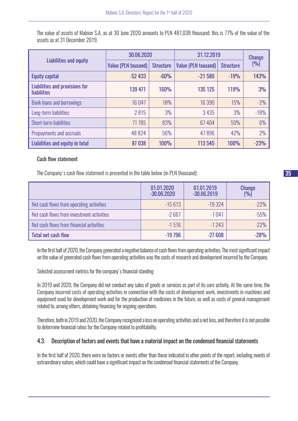The value of assets of Mabion S.A. as at 30 June 2020 amounts to PLN 487,038 thousand; this is 77% of the value of the assets as at 31 December 2019.

|                                                             | 30.06.2020                 |                  | 31.12.2019                 | <b>Change</b>    |             |
|-------------------------------------------------------------|----------------------------|------------------|----------------------------|------------------|-------------|
| Liabilities and equity                                      | <b>Value (PLN tousand)</b> | <b>Structure</b> | <b>Value (PLN tousand)</b> | <b>Structure</b> | (9)         |
| <b>Equity capital</b>                                       | $-52433$                   | $-60%$           | $-21580$                   | $-19%$           | <b>143%</b> |
| <b>Liabilities and provisions for</b><br><b>liabilities</b> | 139 471                    | <b>160%</b>      | 135 125                    | <b>119%</b>      | 3%          |
| <b>Bank loans and borrowings</b>                            | 16047                      | 18%              | 16 390                     | 15%              | $-2%$       |
| Long-term liabilities                                       | 2815                       | 3%               | 3 4 3 5                    | 3%               | $-18%$      |
| Short-term liabilities                                      | 71785                      | 83%              | 67404                      | 59%              | 6%          |
| Prepayments and accruals                                    | 48 8 24                    | 56%              | 47896                      | 42%              | 2%          |
| Liabilities and equity in total                             | 87038                      | <b>100%</b>      | 113545                     | <b>100%</b>      | $-23%$      |

# Cash flow statement

The Company's cash flow statement is presented in the table below (in PLN thousand):

|                                           | 01.01.2020<br>$-30.06.2020$ | 01.01.2019<br>$-30.06.2019$ | <b>Change</b><br>(9/0) |
|-------------------------------------------|-----------------------------|-----------------------------|------------------------|
| Net cash flows from operating activities  | $-15613$                    | $-19324$                    | $-22%$                 |
| Net cash flows from investment activities | $-2667$                     | $-7041$                     | $-55%$                 |
| Net cash flows from financial activities  | $-1516$                     | $-1243$                     | $-22%$                 |
| <b>Total net cash flow</b>                | $-19796$                    | $-27608$                    | $-28%$                 |

In the first half of 2020, the Company generated a negative balance of cash flows from operating activities. The most significant impact on the value of generated cash flows from operating activities was the costs of research and development incurred by the Company.

Selected assessment metrics for the company's financial standing

In 2019 and 2020, the Company did not conduct any sales of goods or services as part of its core activity. At the same time, the Company incurred costs of operating activities in connection with the costs of development work, investments in machines and equipment used for development work and for the production of medicines in the future, as well as costs of general management related to, among others, obtaining financing for ongoing operations.

Therefore, both in 2019 and 2020, the Company recognized a loss on operating activities and a net loss, and therefore it is not possible to determine financial ratios for the Company related to profitability.

# 4.3. Description of factors and events that have a material impact on the condensed financial statements

In the first half of 2020, there were no factors or events other than those indicated in other points of the report, including events of extraordinary nature, which could have a significant impact on the condensed financial statements of the Company.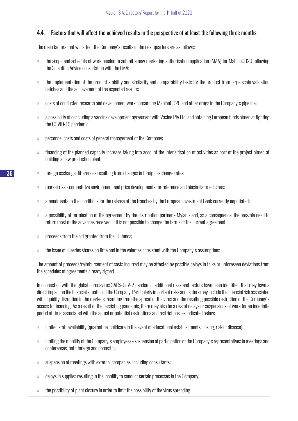# 4.4. Factors that will affect the achieved results in the perspective of at least the following three months

The main factors that will affect the Company's results in the next quarters are as follows:

- » the scope and schedule of work needed to submit a new marketing authorisation application (MAA) for MabionCD20 following the Scientific Advice consultation with the EMA;
- » the implementation of the product stability and similarity and comparability tests for the product from large scale validation batches and the achievement of the expected results;
- » costs of conducted research and development work concerning MabionCD20 and other drugs in the Company's pipeline;
- » a possibility of concluding a vaccine development agreement with Vaxine Pty Ltd. and obtaining European funds aimed at fighting the COVID-19 pandemic;
- » personnel costs and costs of general management of the Company;
- » financing of the planned capacity increase taking into account the intensification of activities as part of the project aimed at building a new production plant;
- » foreign exchange differences resulting from changes in foreign exchange rates;
- » market risk competitive environment and price developments for reference and biosimilar medicines;
- » amendments to the conditions for the release of the tranches by the European Investment Bank currently negotiated;
- » a possibility of termination of the agreement by the distribution partner Mylan and, as a consequence, the possible need to return most of the advances received, if it is not possible to change the terms of the current agreement;
- » proceeds from the aid granted from the EU funds;
- » the issue of U series shares on time and in the volumes consistent with the Company's assumptions.

The amount of proceeds/reimbursement of costs incurred may be affected by possible delays in talks or unforeseen deviations from the schedules of agreements already signed.

In connection with the global coronavirus SARS-CoV-2 pandemic, additional risks and factors have been identified that may have a direct impact on the financial situation of the Company. Particularly important risks and factors may include the financial risk associated with liquidity disruption in the markets, resulting from the spread of the virus and the resulting possible restriction of the Company's access to financing. As a result of the persisting pandemic, there may also be a risk of delays or suspensions of work for an indefinite period of time, associated with the actual or potential restrictions and restrictions, as indicated below:

- » limited staff availability (quarantine, childcare in the event of educational establishments closing, risk of disease);
- » limiting the mobility of the Company's employees suspension of participation of the Company's representatives in meetings and conferences, both foreign and domestic;
- » suspension of meetings with external companies, including consultants;
- » delays in supplies resulting in the inability to conduct certain processes in the Company;
- » the possibility of plant closure in order to limit the possibility of the virus spreading.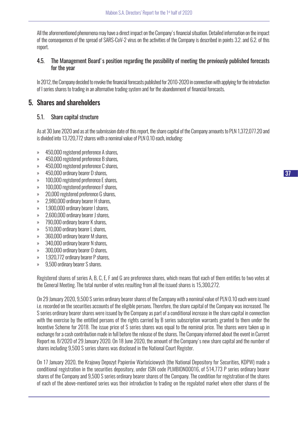All the aforementioned phenomena may have a direct impact on the Company's financial situation. Detailed information on the impact of the consequences of the spread of SARS-CoV-2 virus on the activities of the Company is described in points 3.2. and 6.2. of this report.

# 4.5. The Management Board's position regarding the possibility of meeting the previously published forecasts for the year

In 2012, the Company decided to revoke the financial forecasts published for 2010-2020 in connection with applying for the introduction of I series shares to trading in an alternative trading system and for the abandonment of financial forecasts.

# 5. Shares and shareholders

# 5.1. Share capital structure

As at 30 June 2020 and as at the submission date of this report, the share capital of the Company amounts to PLN 1,372,077.20 and is divided into 13,720,772 shares with a nominal value of PLN 0.10 each, including:

- » 450,000 registered preference A shares,
- » 450,000 registered preference B shares,
- » 450,000 registered preference C shares,
- » 450,000 ordinary bearer D shares,
- » 100,000 registered preference E shares,
- » 100,000 registered preference F shares,
- » 20,000 registered preference G shares,
- » 2,980,000 ordinary bearer H shares,
- » 1,900,000 ordinary bearer I shares,
- » 2,600,000 ordinary bearer J shares,
- » 790,000 ordinary bearer K shares,
- » 510,000 ordinary bearer L shares,
- » 360,000 ordinary bearer M shares,
- » 340,000 ordinary bearer N shares,
- » 300,000 ordinary bearer O shares,
- » 1,920,772 ordinary bearer P shares,
- » 9,500 ordinary bearer S shares.

Registered shares of series A, B, C, E, F and G are preference shares, which means that each of them entitles to two votes at the General Meeting. The total number of votes resulting from all the issued shares is 15,300,272.

On 29 January 2020, 9,500 S series ordinary bearer shares of the Company with a nominal value of PLN 0.10 each were issued i.e. recorded on the securities accounts of the eligible persons. Therefore, the share capital of the Company was increased. The S series ordinary bearer shares were issued by the Company as part of a conditional increase in the share capital in connection with the exercise by the entitled persons of the rights carried by B series subscription warrants granted to them under the Incentive Scheme for 2018. The issue price of S series shares was equal to the nominal price. The shares were taken up in exchange for a cash contribution made in full before the release of the shares. The Company informed about the event in Current Report no. 8/2020 of 29 January 2020. On 18 June 2020, the amount of the Company's new share capital and the number of shares including 9,500 S series shares was disclosed in the National Court Register.

On 17 January 2020, the Krajowy Depozyt Papierów Wartościowych (the National Depository for Securities, KDPW) made a conditional registration in the securities depository, under ISIN code PLMBION00016, of 514,773 P series ordinary bearer shares of the Company and 9,500 S series ordinary bearer shares of the Company. The condition for registration of the shares of each of the above-mentioned series was their introduction to trading on the regulated market where other shares of the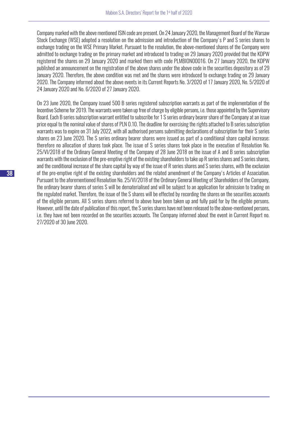Company marked with the above mentioned ISIN code are present. On 24 January 2020, the Management Board of the Warsaw Stock Exchange (WSE) adopted a resolution on the admission and introduction of the Company's P and S series shares to exchange trading on the WSE Primary Market. Pursuant to the resolution, the above-mentioned shares of the Company were admitted to exchange trading on the primary market and introduced to trading on 29 January 2020 provided that the KDPW registered the shares on 29 January 2020 and marked them with code PLMBION00016. On 27 January 2020, the KDPW published an announcement on the registration of the above shares under the above code in the securities depository as of 29 January 2020. Therefore, the above condition was met and the shares were introduced to exchange trading on 29 January 2020. The Company informed about the above events in its Current Reports No. 3/2020 of 17 January 2020, No. 5/2020 of 24 January 2020 and No. 6/2020 of 27 January 2020.

On 23 June 2020, the Company issued 500 B series registered subscription warrants as part of the implementation of the Incentive Scheme for 2019. The warrants were taken up free of charge by eligible persons, i.e. those appointed by the Supervisory Board. Each B series subscription warrant entitled to subscribe for 1 S series ordinary bearer share of the Company at an issue price equal to the nominal value of shares of PLN 0.10. The deadline for exercising the rights attached to B series subscription warrants was to expire on 31 July 2022, with all authorised persons submitting declarations of subscription for their S series shares on 23 June 2020. The S series ordinary bearer shares were issued as part of a conditional share capital increase; therefore no allocation of shares took place. The issue of S series shares took place in the execution of Resolution No. 25/VI/2018 of the Ordinary General Meeting of the Company of 28 June 2018 on the issue of A and B series subscription warrants with the exclusion of the pre-emptive right of the existing shareholders to take up R series shares and S series shares, and the conditional increase of the share capital by way of the issue of R series shares and S series shares, with the exclusion of the pre-emptive right of the existing shareholders and the related amendment of the Company's Articles of Association. Pursuant to the aforementioned Resolution No. 25/VI/2018 of the Ordinary General Meeting of Shareholders of the Company, the ordinary bearer shares of series S will be dematerialised and will be subject to an application for admission to trading on the regulated market. Therefore, the issue of the S shares will be effected by recording the shares on the securities accounts of the eligible persons. All S series shares referred to above have been taken up and fully paid for by the eligible persons. However, until the date of publication of this report, the S series shares have not been released to the above-mentioned persons, i.e. they have not been recorded on the securities accounts. The Company informed about the event in Current Report no. 27/2020 of 30 June 2020.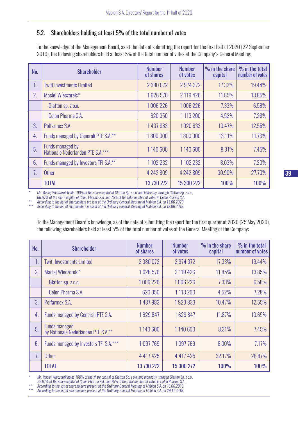# 5.2. Shareholders holding at least 5% of the total number of votes

To the knowledge of the Management Board, as at the date of submitting the report for the first half of 2020 (22 September 2019), the following shareholders hold at least 5% of the total number of votes at the Company's General Meeting:

| No. | <b>Shareholder</b>                                    | <b>Number</b><br>of shares | <b>Number</b><br>of votes | % in the share<br>capital | % in the total<br>number of votes |
|-----|-------------------------------------------------------|----------------------------|---------------------------|---------------------------|-----------------------------------|
| 1.  | <b>Twiti Investments Limited</b>                      | 2 380 072                  | 2974372                   | 17.33%                    | 19.44%                            |
| 2.  | Maciej Wieczorek:*                                    | 1626576                    | 2 119 426                 | 11.85%                    | 13.85%                            |
|     | Glatton sp. z o.o.                                    | 1006 226                   | 1006 226                  | 7.33%                     | 6.58%                             |
|     | Celon Pharma S.A.                                     | 620 350                    | 1113200                   | 4.52%                     | 7.28%                             |
| 3.  | Polfarmex S.A.                                        | 1 437 983                  | 1920833                   | 10.47%                    | 12.55%                            |
| 4.  | Funds managed by Generali PTE S.A.**                  | 1800000                    | 1800000                   | 13.11%                    | 11.76%                            |
| 5.  | Funds managed by<br>Nationale Nederlanden PTE S.A.*** | 1140 600                   | 1140 600                  | 8.31%                     | 7.45%                             |
| 6.  | Funds managed by Investors TFI S.A.**                 | 1102232                    | 1 102 232                 | 8.03%                     | 7.20%                             |
| 7.  | <b>Other</b>                                          | 4 242 809                  | 4 242 809                 | 30.90%                    | 27.73%                            |
|     | <b>TOTAL</b>                                          | 13 730 272                 | 15 300 272                | <b>100%</b>               | <b>100%</b>                       |

*\* Mr. Maciej Wieczorek holds 100% of the share capital of Glatton Sp. z o.o. and indirectly, through Glatton Sp. z o.o.,* 

*66.67% of the share capital of Celon Pharma S.A. and 75% of the total number of votes in Celon Pharma S.A.*

*\*\* According to the list of shareholders present at the Ordinary General Meeting of Mabion S.A. on 15.06.2020 \*\*\* According to the list of shareholders present at the Ordinary General Meeting of Mabion S.A. on 18.06.2019*

To the Management Board's knowledge, as of the date of submitting the report for the first quarter of 2020 (25 May 2020), the following shareholders held at least 5% of the total number of votes at the General Meeting of the Company:

| No. | <b>Shareholder</b>                                          | <b>Number</b><br>of shares | <b>Number</b><br>of votes | % in the share<br>capital | % in the total<br>number of votes |
|-----|-------------------------------------------------------------|----------------------------|---------------------------|---------------------------|-----------------------------------|
| 1.  | <b>Twiti Investments Limited</b>                            | 2 380 072                  | 2 974 372                 | 17.33%                    | 19.44%                            |
| 2.  | Maciej Wieczorek:*                                          | 1626576                    | 2 119 426                 | 11.85%                    | 13.85%                            |
|     | Glatton sp. z o.o.                                          | 1006 226                   | 1006 226                  | 7.33%                     | 6.58%                             |
|     | Celon Pharma S.A.                                           | 620 350                    | 1 1 1 3 2 0 0             | 4.52%                     | 7.28%                             |
| 3.  | Polfarmex S.A.                                              | 1437983                    | 1920833                   | 10.47%                    | 12.55%                            |
| 4.  | Funds managed by Generali PTE S.A.                          | 1629847                    | 1629847                   | 11.87%                    | 10.65%                            |
| 5.  | <b>Funds managed</b><br>by Nationale Nederlanden PTE S.A.** | 1140600                    | 1140600                   | 8.31%                     | 7.45%                             |
| 6.  | Funds managed by Investors TFI S.A.***                      | 1097769                    | 1097769                   | 8.00%                     | 7.17%                             |
| 7.  | <b>Other</b>                                                | 4 4 1 7 4 2 5              | 4 4 1 7 4 2 5             | 32.17%                    | 28.87%                            |
|     | <b>TOTAL</b>                                                | 13 730 272                 | 15 300 272                | <b>100%</b>               | 100%                              |

*\* Mr. Maciej Wieczorek holds 100% of the share capital of Glatton Sp. z o.o. and indirectly, through Glatton Sp. z o.o.,* 

*66.67% of the share capital of Celon Pharma S.A. and 75% of the total number of votes in Celon Pharma S.A.*

*\*\* According to the list of shareholders present at the Ordinary General Meeting of Mabion S.A. on 18.06.2019.*

*\*\*\* According to the list of shareholders present at the Ordinary General Meeting of Mabion S.A. on 29.11.2019.*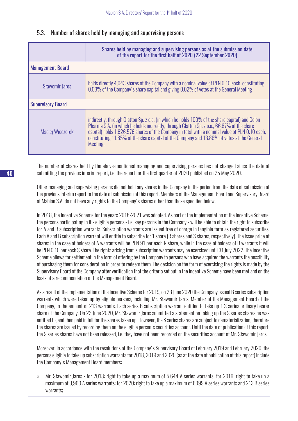# 5.3. Number of shares held by managing and supervising persons

|                          | Shares held by managing and supervising persons as at the submission date<br>of the report for the first half of 2020 (22 September 2020)                                                                                                                                                                                                                                                                |
|--------------------------|----------------------------------------------------------------------------------------------------------------------------------------------------------------------------------------------------------------------------------------------------------------------------------------------------------------------------------------------------------------------------------------------------------|
| <b>Management Board</b>  |                                                                                                                                                                                                                                                                                                                                                                                                          |
| <b>Sławomir Jaros</b>    | holds directly 4,043 shares of the Company with a nominal value of PLN 0.10 each, constituting<br>0.03% of the Company's share capital and giving 0.02% of votes at the General Meeting                                                                                                                                                                                                                  |
| <b>Supervisory Board</b> |                                                                                                                                                                                                                                                                                                                                                                                                          |
| Maciej Wieczorek         | indirectly, through Glatton Sp. z o.o. (in which he holds 100% of the share capital) and Celon<br>Pharma S.A. (in which he holds indirectly, through Glatton Sp. z o.o., 66.67% of the share<br>capital) holds 1,626,576 shares of the Company in total with a nominal value of PLN 0.10 each,<br>constituting 11.85% of the share capital of the Company and 13.86% of votes at the General<br>Meeting. |

The number of shares held by the above-mentioned managing and supervising persons has not changed since the date of submitting the previous interim report, i.e. the report for the first quarter of 2020 published on 25 May 2020.

Other managing and supervising persons did not hold any shares in the Company in the period from the date of submission of the previous interim report to the date of submission of this report. Members of the Management Board and Supervisory Board of Mabion S.A. do not have any rights to the Company's shares other than those specified below.

In 2018, the Incentive Scheme for the years 2018-2021 was adopted. As part of the implementation of the Incentive Scheme, the persons participating in it - eligible persons - i.e. key persons in the Company - will be able to obtain the right to subscribe for A and B subscription warrants. Subscription warrants are issued free of charge in tangible form as registered securities. Each A and B subscription warrant will entitle to subscribe for 1 share (R shares and S shares, respectively). The issue price of shares in the case of holders of A warrants will be PLN 91 per each R share, while in the case of holders of B warrants it will be PLN 0.10 per each S share. The rights arising from subscription warrants may be exercised until 31 July 2022. The Incentive Scheme allows for settlement in the form of offering by the Company to persons who have acquired the warrants the possibility of purchasing them for consideration in order to redeem them. The decision on the form of exercising the rights is made by the Supervisory Board of the Company after verification that the criteria set out in the Incentive Scheme have been met and on the basis of a recommendation of the Management Board.

As a result of the implementation of the Incentive Scheme for 2019, on 23 June 2020 the Company issued B series subscription warrants which were taken up by eligible persons, including Mr. Sławomir Jaros, Member of the Management Board of the Company, in the amount of 213 warrants. Each series B subscription warrant entitled to take up 1 S series ordinary bearer share of the Company. On 23 June 2020, Mr. Sławomir Jaros submitted a statement on taking up the S series shares he was entitled to, and then paid in full for the shares taken up. However, the S series shares are subject to dematerialization, therefore the shares are issued by recording them on the eligible person's securities account. Until the date of publication of this report, the S series shares have not been released, i.e. they have not been recorded on the securities account of Mr. Sławomir Jaros.

Moreover, in accordance with the resolutions of the Company's Supervisory Board of February 2019 and February 2020, the persons eligible to take up subscription warrants for 2018, 2019 and 2020 (as at the date of publication of this report) include the Company's Management Board members:

» Mr. Sławomir Jaros - for 2018: right to take up a maximum of 5,644 A series warrants; for 2019: right to take up a maximum of 3,960 A series warrants; for 2020: right to take up a maximum of 6099 A series warrants and 213 B series warrants;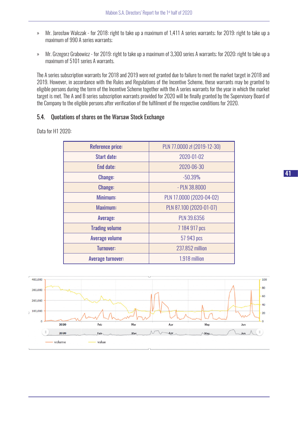- » Mr. Jarosław Walczak for 2018: right to take up a maximum of 1,411 A series warrants; for 2019: right to take up a maximum of 990 A series warrants;
- » Mr. Grzegorz Grabowicz for 2019: right to take up a maximum of 3,300 series A warrants; for 2020: right to take up a maximum of 5101 series A warrants.

The A series subscription warrants for 2018 and 2019 were not granted due to failure to meet the market target in 2018 and 2019. However, in accordance with the Rules and Regulations of the Incentive Scheme, these warrants may be granted to eligible persons during the term of the Incentive Scheme together with the A series warrants for the year in which the market target is met. The A and B series subscription warrants provided for 2020 will be finally granted by the Supervisory Board of the Company to the eligible persons after verification of the fulfilment of the respective conditions for 2020.

# 5.4. Quotations of shares on the Warsaw Stock Exchange

Data for H1 2020:

| <b>Reference price:</b> | PLN 77.0000 zł (2019-12-30) |  |
|-------------------------|-----------------------------|--|
| Start date:             | 2020-01-02                  |  |
| End date:               | 2020-06-30                  |  |
| <b>Change:</b>          | $-50.39%$                   |  |
| <b>Change:</b>          | - PLN 38,8000               |  |
| Minimum:                | PLN 17.0000 (2020-04-02)    |  |
| Maximum:                | PLN 87.100 (2020-01-07)     |  |
| Average:                | <b>PLN 39.6356</b>          |  |
| <b>Trading volume</b>   | 7 184 917 pcs               |  |
| <b>Average volume</b>   | 57 943 pcs                  |  |
| <b>Turnover:</b>        | 237,852 million             |  |
| Average turnover:       | 1.918 million               |  |

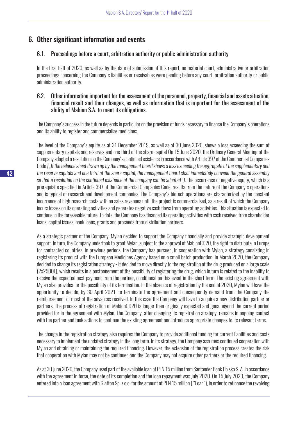# 6. Other significant information and events

# 6.1. Proceedings before a court, arbitration authority or public administration authority

In the first half of 2020, as well as by the date of submission of this report, no material court, administrative or arbitration proceedings concerning the Company's liabilities or receivables were pending before any court, arbitration authority or public administration authority.

# 6.2. Other information important for the assessment of the personnel, property, financial and assets situation, financial result and their changes, as well as information that is important for the assessment of the ability of Mabion S.A. to meet its obligations.

The Company's success in the future depends in particular on the provision of funds necessary to finance the Company's operations and its ability to register and commercialise medicines.

The level of the Company's equity as at 31 December 2019, as well as at 30 June 2020, shows a loss exceeding the sum of supplementary capitals and reserves and one third of the share capital On 15 June 2020, the Ordinary General Meeting of the Company adopted a resolution on the Company's continued existence in accordance with Article 397 of the Commercial Companies Code*("If the balance sheet drawn up by the management board shows a loss exceeding the aggregate of the supplementary and the reserve capitals and one third of the share capital, the management board shall immediately convene the general assembly* so that a resolution on the continued existence of the company can be adopted"). The occurrence of negative equity, which is a prerequisite specified in Article 397 of the Commercial Companies Code, results from the nature of the Company's operations and is typical of research and development companies. The Company's biotech operations are characterized by the constant incurrence of high research costs with no sales revenues until the project is commercialised, as a result of which the Company incurs losses on its operating activities and generates negative cash flows from operating activities. This situation is expected to continue in the foreseeable future. To date, the Company has financed its operating activities with cash received from shareholder loans, capital issues, bank loans, grants and proceeds from distribution partners.

As a strategic partner of the Company, Mylan decided to support the Company financially and provide strategic development support. In turn, the Company undertook to grant Mylan, subject to the approval of MabionCD20, the right to distribute in Europe for contracted countries. In previous periods, the Company has pursued, in cooperation with Mylan, a strategy consisting in registering its product with the European Medicines Agency based on a small batch production. In March 2020, the Company decided to change its registration strategy - it decided to move directly to the registration of the drug produced on a large scale (2x2500L), which results in a postponement of the possibility of registering the drug, which in turn is related to the inability to receive the expected next payment from the partner, conditional on this event in the short term. The existing agreement with Mylan also provides for the possibility of its termination. In the absence of registration by the end of 2020, Mylan will have the opportunity to decide, by 30 April 2021, to terminate the agreement and consequently demand from the Company the reimbursement of most of the advances received. In this case the Company will have to acquire a new distribution partner or partners. The process of registration of MabionCD20 is longer than originally expected and goes beyond the current period provided for in the agreement with Mylan. The Company, after changing its registration strategy, remains in ongoing contact with the partner and took actions to continue the existing agreement and introduce appropriate changes to its relevant terms.

The change in the registration strategy also requires the Company to provide additional funding for current liabilities and costs necessary to implement the updated strategy in the long term. In its strategy, the Company assumes continued cooperation with Mylan and obtaining or maintaining the required financing. However, the extension of the registration process creates the risk that cooperation with Mylan may not be continued and the Company may not acquire other partners or the required financing.

As at 30 June 2020, the Company used part of the available loan of PLN 15 million from Santander Bank Polska S. A. In accordance with the agreement in force, the date of its completion and the loan repayment was July 2020. On 15 July 2020, the Company entered into a loan agreement with Glatton Sp. z o.o. for the amount of PLN 15 million ( "Loan"), in order to refinance the revolving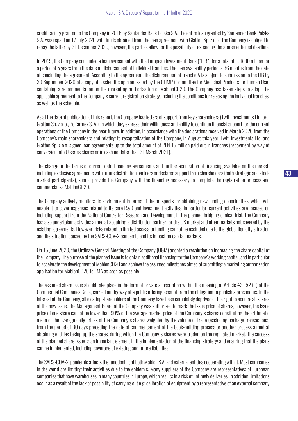credit facility granted to the Company in 2018 by Santander Bank Polska S.A. The entire loan granted by Santander Bank Polska S.A. was repaid on 17 July 2020 with funds obtained from the loan agreement with Glatton Sp. z o.o. The Company is obliged to repay the latter by 31 December 2020, however, the parties allow for the possibility of extending the aforementioned deadline.

In 2019, the Company concluded a loan agreement with the European Investment Bank ("EIB") for a total of EUR 30 million for a period of 5 years from the date of disbursement of individual tranches. The loan availability period is 36 months from the date of concluding the agreement. According to the agreement, the disbursement of tranche A is subject to submission to the EIB by 30 September 2020 of a copy of a scientific opinion issued by the CHMP (Committee for Medicinal Products for Human Use) containing a recommendation on the marketing authorisation of MabionCD20. The Company has taken steps to adapt the applicable agreement to the Company's current registration strategy, including the conditions for releasing the individual tranches, as well as the schedule.

As at the date of publication of this report, the Company has letters of support from key shareholders (Twiti Investments Limited, Glatton Sp. z o. o., Polfarmex S. A.), in which they express their willingness and ability to continue financial support for the current operations of the Company in the near future. In addition, in accordance with the declarations received in March 2020 from the Company's main shareholders and relating to recapitalisation of the Company, in August this year, Twiti Investments Ltd. and Glatton Sp. z o.o. signed loan agreements up to the total amount of PLN 15 million paid out in tranches (repayment by way of conversion into U series shares or in cash not later than 31 March 2021).

The change in the terms of current debt financing agreements and further acquisition of financing available on the market, including exclusive agreements with future distribution partners or declared support from shareholders (both strategic and stock market participants), should provide the Company with the financing necessary to complete the registration process and commercialise MabionCD20.

The Company actively monitors its environment in terms of the prospects for obtaining new funding opportunities, which will enable it to cover expenses related to its core R&D and investment activities. In particular, current activities are focused on including support from the National Centre for Research and Development in the planned bridging clinical trial. The Company has also undertaken activities aimed at acquiring a distribution partner for the US market and other markets not covered by the existing agreements. However, risks related to limited access to funding cannot be excluded due to the global liquidity situation and the situation caused by the SARS-COV-2 pandemic and its impact on capital markets.

On 15 June 2020, the Ordinary General Meeting of the Company (OGM) adopted a resolution on increasing the share capital of the Company. The purpose of the planned issue is to obtain additional financing for the Company's working capital, and in particular to accelerate the development of MabionCD20 and achieve the assumed milestones aimed at submitting a marketing authorisation application for MabionCD20 to EMA as soon as possible.

The assumed share issue should take place in the form of private subscription within the meaning of Article 431 §2 (1) of the Commercial Companies Code, carried out by way of a public offering exempt from the obligation to publish a prospectus. In the interest of the Company, all existing shareholders of the Company have been completely deprived of the right to acquire all shares of the new issue. The Management Board of the Company was authorized to mark the issue price of shares, however, the issue price of one share cannot be lower than 90% of the average market price of the Company's shares constituting the arithmetic mean of the average daily prices of the Company's shares weighted by the volume of trade (excluding package transactions) from the period of 30 days preceding the date of commencement of the book-building process or another process aimed at obtaining entities taking up the shares, during which the Company's shares were traded on the regulated market. The success of the planned share issue is an important element in the implementation of the financing strategy and ensuring that the plans can be implemented, including coverage of existing and future liabilities.

The SARS-COV-2 pandemic affects the functioning of both Mabion S.A. and external entities cooperating with it. Most companies in the world are limiting their activities due to the epidemic. Many suppliers of the Company are representatives of European companies that have warehouses in many countries in Europe, which results in a risk of untimely deliveries. In addition, limitations occur as a result of the lack of possibility of carrying out e.g. calibration of equipment by a representative of an external company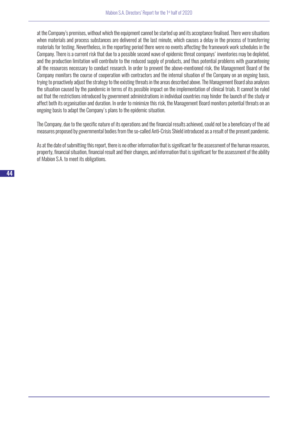at the Company's premises, without which the equipment cannot be started up and its acceptance finalised. There were situations when materials and process substances are delivered at the last minute, which causes a delay in the process of transferring materials for testing. Nevertheless, in the reporting period there were no events affecting the framework work schedules in the Company. There is a current risk that due to a possible second wave of epidemic threat companys' inventories may be depleted, and the production limitation will contribute to the reduced supply of products, and thus potential problems with guaranteeing all the resources necessary to conduct research. In order to prevent the above-mentioned risk, the Management Board of the Company monitors the course of cooperation with contractors and the internal situation of the Company on an ongoing basis, trying to proactively adjust the strategy to the existing threats in the areas described above. The Management Board also analyses the situation caused by the pandemic in terms of its possible impact on the implementation of clinical trials. It cannot be ruled out that the restrictions introduced by government administrations in individual countries may hinder the launch of the study or affect both its organisation and duration. In order to minimize this risk, the Management Board monitors potential threats on an ongoing basis to adapt the Company's plans to the epidemic situation.

The Company, due to the specific nature of its operations and the financial results achieved, could not be a beneficiary of the aid measures proposed by governmental bodies from the so-called Anti-Crisis Shield introduced as a result of the present pandemic.

As at the date of submitting this report, there is no other information that is significant for the assessment of the human resources, property, financial situation, financial result and their changes, and information that is significant for the assessment of the ability of Mabion S.A. to meet its obligations.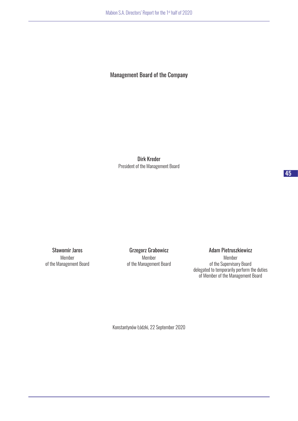# Management Board of the Company

Dirk Kreder President of the Management Board

Sławomir Jaros Member of the Management Board

Grzegorz Grabowicz Member of the Management Board Adam Pietruszkiewicz

Member of the Supervisory Board delegated to temporarily perform the duties of Member of the Management Board

Konstantynów Łódzki, 22 September 2020